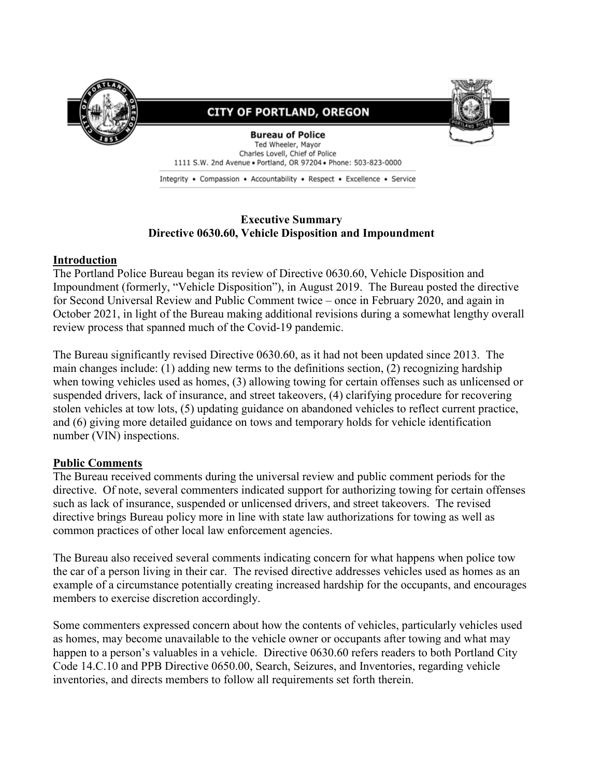

# **CITY OF PORTLAND, OREGON**



**Bureau of Police** Ted Wheeler, Mayor Charles Lovell, Chief of Police 1111 S.W. 2nd Avenue . Portland, OR 97204 . Phone: 503-823-0000

Integrity . Compassion . Accountability . Respect . Excellence . Service

### **Executive Summary Directive 0630.60, Vehicle Disposition and Impoundment**

### **Introduction**

The Portland Police Bureau began its review of Directive 0630.60, Vehicle Disposition and Impoundment (formerly, "Vehicle Disposition"), in August 2019. The Bureau posted the directive for Second Universal Review and Public Comment twice – once in February 2020, and again in October 2021, in light of the Bureau making additional revisions during a somewhat lengthy overall review process that spanned much of the Covid-19 pandemic.

The Bureau significantly revised Directive 0630.60, as it had not been updated since 2013. The main changes include: (1) adding new terms to the definitions section, (2) recognizing hardship when towing vehicles used as homes, (3) allowing towing for certain offenses such as unlicensed or suspended drivers, lack of insurance, and street takeovers, (4) clarifying procedure for recovering stolen vehicles at tow lots, (5) updating guidance on abandoned vehicles to reflect current practice, and (6) giving more detailed guidance on tows and temporary holds for vehicle identification number (VIN) inspections.

### **Public Comments**

The Bureau received comments during the universal review and public comment periods for the directive. Of note, several commenters indicated support for authorizing towing for certain offenses such as lack of insurance, suspended or unlicensed drivers, and street takeovers. The revised directive brings Bureau policy more in line with state law authorizations for towing as well as common practices of other local law enforcement agencies.

The Bureau also received several comments indicating concern for what happens when police tow the car of a person living in their car. The revised directive addresses vehicles used as homes as an example of a circumstance potentially creating increased hardship for the occupants, and encourages members to exercise discretion accordingly.

Some commenters expressed concern about how the contents of vehicles, particularly vehicles used as homes, may become unavailable to the vehicle owner or occupants after towing and what may happen to a person's valuables in a vehicle. Directive 0630.60 refers readers to both Portland City Code 14.C.10 and PPB Directive 0650.00, Search, Seizures, and Inventories, regarding vehicle inventories, and directs members to follow all requirements set forth therein.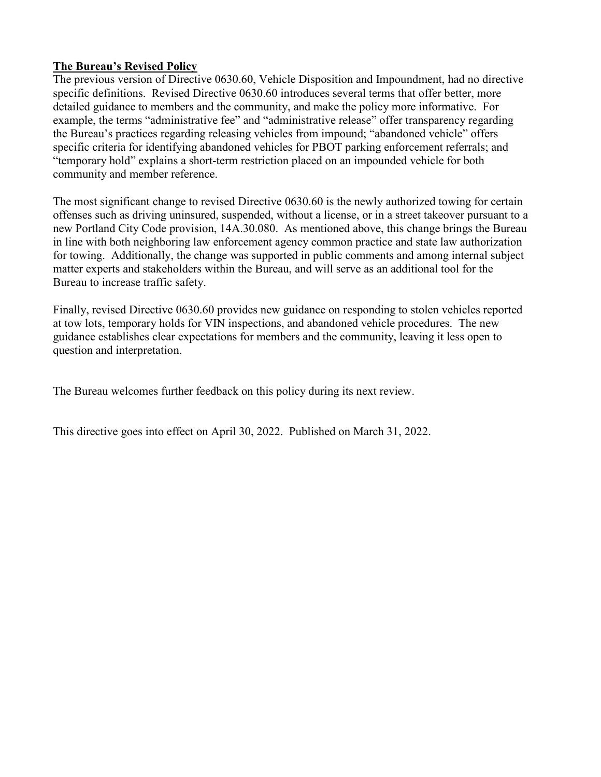### **The Bureau's Revised Policy**

The previous version of Directive 0630.60, Vehicle Disposition and Impoundment, had no directive specific definitions. Revised Directive 0630.60 introduces several terms that offer better, more detailed guidance to members and the community, and make the policy more informative. For example, the terms "administrative fee" and "administrative release" offer transparency regarding the Bureau's practices regarding releasing vehicles from impound; "abandoned vehicle" offers specific criteria for identifying abandoned vehicles for PBOT parking enforcement referrals; and "temporary hold" explains a short-term restriction placed on an impounded vehicle for both community and member reference.

The most significant change to revised Directive 0630.60 is the newly authorized towing for certain offenses such as driving uninsured, suspended, without a license, or in a street takeover pursuant to a new Portland City Code provision, 14A.30.080. As mentioned above, this change brings the Bureau in line with both neighboring law enforcement agency common practice and state law authorization for towing. Additionally, the change was supported in public comments and among internal subject matter experts and stakeholders within the Bureau, and will serve as an additional tool for the Bureau to increase traffic safety.

Finally, revised Directive 0630.60 provides new guidance on responding to stolen vehicles reported at tow lots, temporary holds for VIN inspections, and abandoned vehicle procedures. The new guidance establishes clear expectations for members and the community, leaving it less open to question and interpretation.

The Bureau welcomes further feedback on this policy during its next review.

This directive goes into effect on April 30, 2022. Published on March 31, 2022.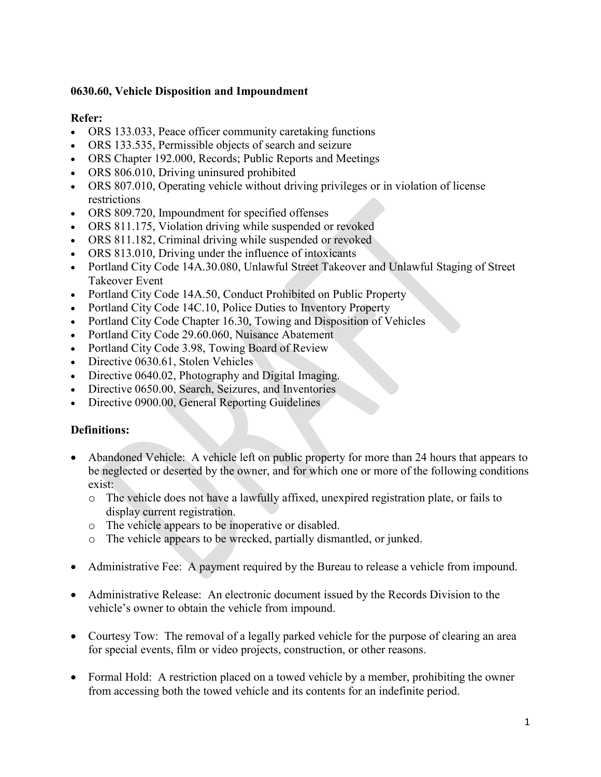# **0630.60, Vehicle Disposition and Impoundment**

# **Refer:**

- ORS 133.033, Peace officer community caretaking functions
- ORS 133.535, Permissible objects of search and seizure
- ORS Chapter 192.000, Records; Public Reports and Meetings
- ORS 806.010, Driving uninsured prohibited
- ORS 807.010, Operating vehicle without driving privileges or in violation of license restrictions
- ORS 809.720, Impoundment for specified offenses
- ORS 811.175, Violation driving while suspended or revoked
- ORS 811.182, Criminal driving while suspended or revoked
- ORS 813.010, Driving under the influence of intoxicants
- Portland City Code 14A.30.080, Unlawful Street Takeover and Unlawful Staging of Street Takeover Event
- Portland City Code 14A.50, Conduct Prohibited on Public Property
- Portland City Code 14C.10, Police Duties to Inventory Property
- Portland City Code Chapter 16.30, Towing and Disposition of Vehicles
- Portland City Code 29.60.060, Nuisance Abatement
- Portland City Code 3.98, Towing Board of Review
- Directive 0630.61, Stolen Vehicles
- Directive 0640.02, Photography and Digital Imaging.
- Directive 0650.00, Search, Seizures, and Inventories
- Directive 0900.00, General Reporting Guidelines

# **Definitions:**

- Abandoned Vehicle: A vehicle left on public property for more than 24 hours that appears to be neglected or deserted by the owner, and for which one or more of the following conditions exist:
	- o The vehicle does not have a lawfully affixed, unexpired registration plate, or fails to display current registration.
	- o The vehicle appears to be inoperative or disabled.
	- o The vehicle appears to be wrecked, partially dismantled, or junked.
- Administrative Fee: A payment required by the Bureau to release a vehicle from impound.
- Administrative Release: An electronic document issued by the Records Division to the vehicle's owner to obtain the vehicle from impound.
- Courtesy Tow: The removal of a legally parked vehicle for the purpose of clearing an area for special events, film or video projects, construction, or other reasons.
- Formal Hold: A restriction placed on a towed vehicle by a member, prohibiting the owner from accessing both the towed vehicle and its contents for an indefinite period.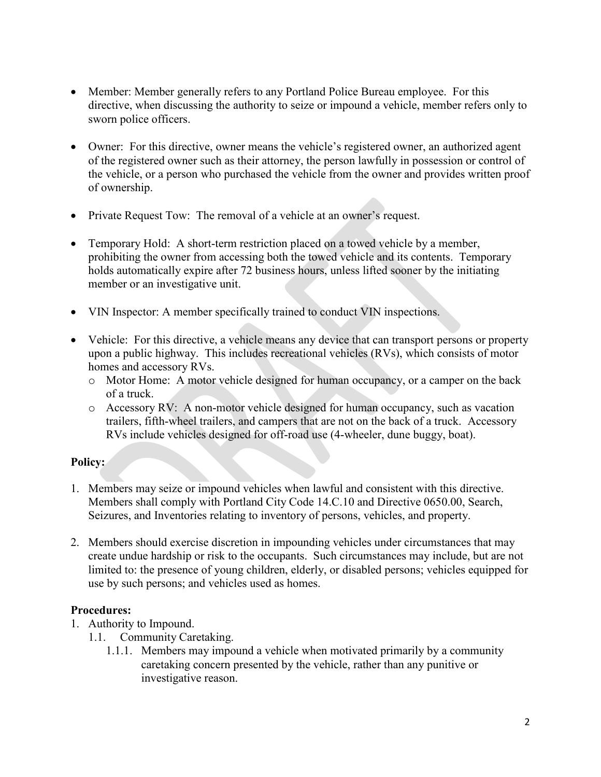- Member: Member generally refers to any Portland Police Bureau employee. For this directive, when discussing the authority to seize or impound a vehicle, member refers only to sworn police officers.
- Owner: For this directive, owner means the vehicle's registered owner, an authorized agent of the registered owner such as their attorney, the person lawfully in possession or control of the vehicle, or a person who purchased the vehicle from the owner and provides written proof of ownership.
- Private Request Tow: The removal of a vehicle at an owner's request.
- Temporary Hold: A short-term restriction placed on a towed vehicle by a member, prohibiting the owner from accessing both the towed vehicle and its contents. Temporary holds automatically expire after 72 business hours, unless lifted sooner by the initiating member or an investigative unit.
- VIN Inspector: A member specifically trained to conduct VIN inspections.
- Vehicle: For this directive, a vehicle means any device that can transport persons or property upon a public highway. This includes recreational vehicles (RVs), which consists of motor homes and accessory RVs.
	- o Motor Home: A motor vehicle designed for human occupancy, or a camper on the back of a truck.
	- o Accessory RV: A non-motor vehicle designed for human occupancy, such as vacation trailers, fifth-wheel trailers, and campers that are not on the back of a truck. Accessory RVs include vehicles designed for off-road use (4-wheeler, dune buggy, boat).

# **Policy:**

- 1. Members may seize or impound vehicles when lawful and consistent with this directive. Members shall comply with Portland City Code 14.C.10 and Directive 0650.00, Search, Seizures, and Inventories relating to inventory of persons, vehicles, and property.
- 2. Members should exercise discretion in impounding vehicles under circumstances that may create undue hardship or risk to the occupants. Such circumstances may include, but are not limited to: the presence of young children, elderly, or disabled persons; vehicles equipped for use by such persons; and vehicles used as homes.

# **Procedures:**

- 1. Authority to Impound.
	- 1.1. Community Caretaking.
		- 1.1.1. Members may impound a vehicle when motivated primarily by a community caretaking concern presented by the vehicle, rather than any punitive or investigative reason.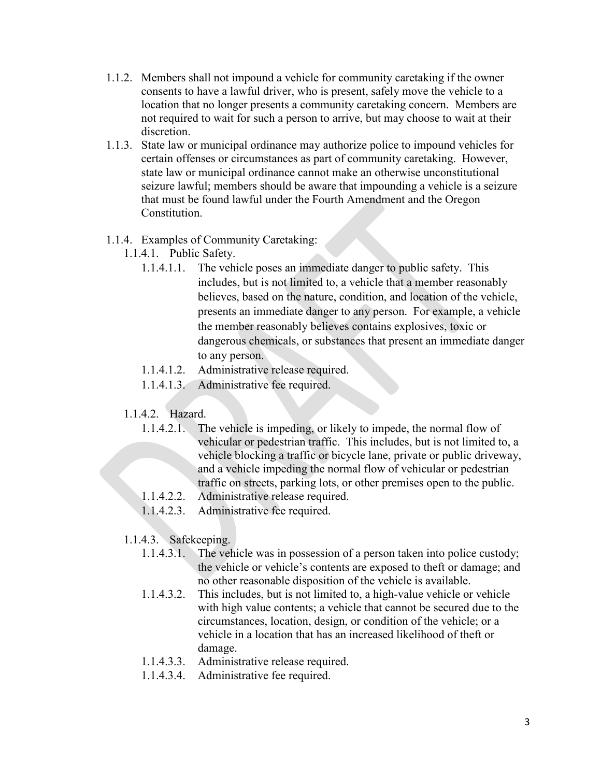- 1.1.2. Members shall not impound a vehicle for community caretaking if the owner consents to have a lawful driver, who is present, safely move the vehicle to a location that no longer presents a community caretaking concern. Members are not required to wait for such a person to arrive, but may choose to wait at their discretion.
- 1.1.3. State law or municipal ordinance may authorize police to impound vehicles for certain offenses or circumstances as part of community caretaking. However, state law or municipal ordinance cannot make an otherwise unconstitutional seizure lawful; members should be aware that impounding a vehicle is a seizure that must be found lawful under the Fourth Amendment and the Oregon Constitution.
- 1.1.4. Examples of Community Caretaking:
	- 1.1.4.1. Public Safety.
		- 1.1.4.1.1. The vehicle poses an immediate danger to public safety. This includes, but is not limited to, a vehicle that a member reasonably believes, based on the nature, condition, and location of the vehicle, presents an immediate danger to any person. For example, a vehicle the member reasonably believes contains explosives, toxic or dangerous chemicals, or substances that present an immediate danger to any person.
		- 1.1.4.1.2. Administrative release required.
		- 1.1.4.1.3. Administrative fee required.
	- 1.1.4.2. Hazard.
		- 1.1.4.2.1. The vehicle is impeding, or likely to impede, the normal flow of vehicular or pedestrian traffic. This includes, but is not limited to, a vehicle blocking a traffic or bicycle lane, private or public driveway, and a vehicle impeding the normal flow of vehicular or pedestrian traffic on streets, parking lots, or other premises open to the public.
		- 1.1.4.2.2. Administrative release required.
		- 1.1.4.2.3. Administrative fee required.
	- 1.1.4.3. Safekeeping.
		- 1.1.4.3.1. The vehicle was in possession of a person taken into police custody; the vehicle or vehicle's contents are exposed to theft or damage; and no other reasonable disposition of the vehicle is available.
		- 1.1.4.3.2. This includes, but is not limited to, a high-value vehicle or vehicle with high value contents; a vehicle that cannot be secured due to the circumstances, location, design, or condition of the vehicle; or a vehicle in a location that has an increased likelihood of theft or damage.
		- 1.1.4.3.3. Administrative release required.
		- 1.1.4.3.4. Administrative fee required.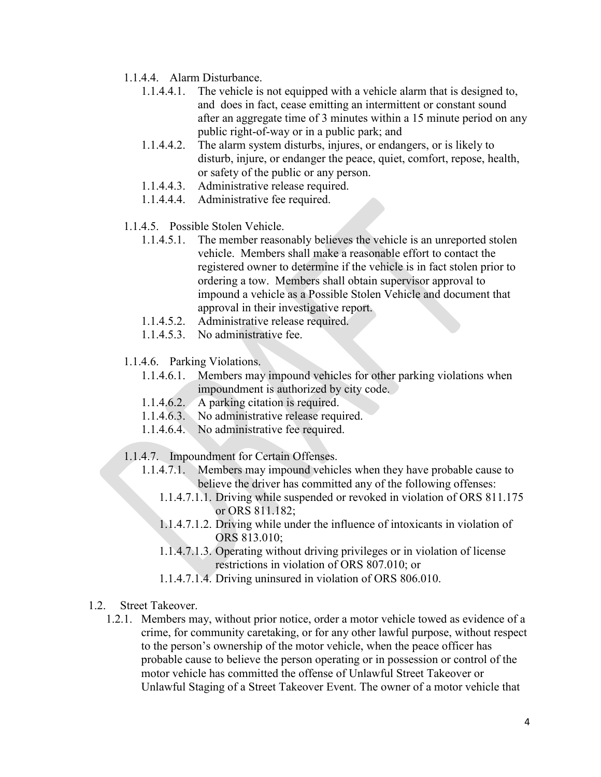- 1.1.4.4. Alarm Disturbance.
	- 1.1.4.4.1. The vehicle is not equipped with a vehicle alarm that is designed to, and does in fact, cease emitting an intermittent or constant sound after an aggregate time of 3 minutes within a 15 minute period on any public right-of-way or in a public park; and
	- 1.1.4.4.2. The alarm system disturbs, injures, or endangers, or is likely to disturb, injure, or endanger the peace, quiet, comfort, repose, health, or safety of the public or any person.
	- 1.1.4.4.3. Administrative release required.
	- 1.1.4.4.4. Administrative fee required.
- 1.1.4.5. Possible Stolen Vehicle.
	- 1.1.4.5.1. The member reasonably believes the vehicle is an unreported stolen vehicle. Members shall make a reasonable effort to contact the registered owner to determine if the vehicle is in fact stolen prior to ordering a tow. Members shall obtain supervisor approval to impound a vehicle as a Possible Stolen Vehicle and document that approval in their investigative report.
	- 1.1.4.5.2. Administrative release required.
	- 1.1.4.5.3. No administrative fee.
- 1.1.4.6. Parking Violations.
	- 1.1.4.6.1. Members may impound vehicles for other parking violations when impoundment is authorized by city code.
	- 1.1.4.6.2. A parking citation is required.
	- 1.1.4.6.3. No administrative release required.
	- 1.1.4.6.4. No administrative fee required.
- 1.1.4.7. Impoundment for Certain Offenses.
	- 1.1.4.7.1. Members may impound vehicles when they have probable cause to believe the driver has committed any of the following offenses:
		- 1.1.4.7.1.1. Driving while suspended or revoked in violation of ORS 811.175 or ORS 811.182;
		- 1.1.4.7.1.2. Driving while under the influence of intoxicants in violation of ORS 813.010;
		- 1.1.4.7.1.3. Operating without driving privileges or in violation of license restrictions in violation of ORS 807.010; or
		- 1.1.4.7.1.4. Driving uninsured in violation of ORS 806.010.
- 1.2. Street Takeover.
	- 1.2.1. Members may, without prior notice, order a motor vehicle towed as evidence of a crime, for community caretaking, or for any other lawful purpose, without respect to the person's ownership of the motor vehicle, when the peace officer has probable cause to believe the person operating or in possession or control of the motor vehicle has committed the offense of Unlawful Street Takeover or Unlawful Staging of a Street Takeover Event. The owner of a motor vehicle that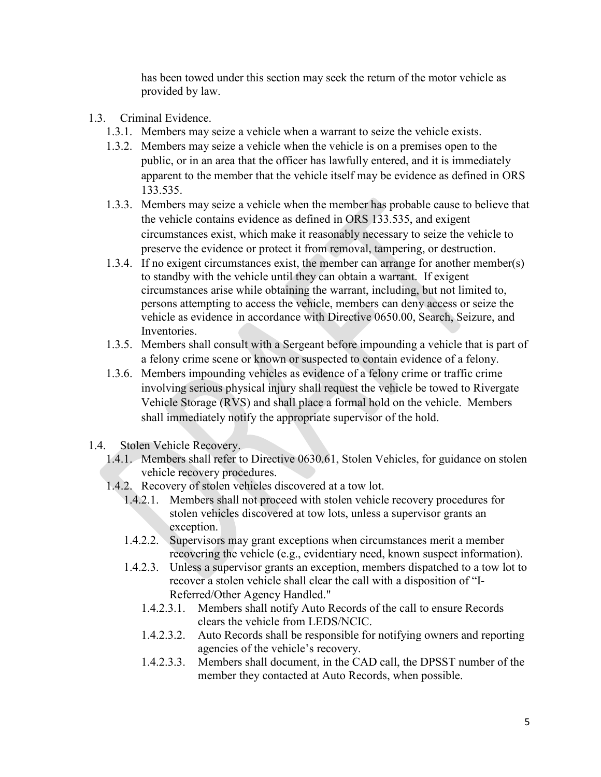has been towed under this section may seek the return of the motor vehicle as provided by law.

- 1.3. Criminal Evidence.
	- 1.3.1. Members may seize a vehicle when a warrant to seize the vehicle exists.
	- 1.3.2. Members may seize a vehicle when the vehicle is on a premises open to the public, or in an area that the officer has lawfully entered, and it is immediately apparent to the member that the vehicle itself may be evidence as defined in ORS 133.535.
	- 1.3.3. Members may seize a vehicle when the member has probable cause to believe that the vehicle contains evidence as defined in ORS 133.535, and exigent circumstances exist, which make it reasonably necessary to seize the vehicle to preserve the evidence or protect it from removal, tampering, or destruction.
	- 1.3.4. If no exigent circumstances exist, the member can arrange for another member(s) to standby with the vehicle until they can obtain a warrant. If exigent circumstances arise while obtaining the warrant, including, but not limited to, persons attempting to access the vehicle, members can deny access or seize the vehicle as evidence in accordance with Directive 0650.00, Search, Seizure, and Inventories.
	- 1.3.5. Members shall consult with a Sergeant before impounding a vehicle that is part of a felony crime scene or known or suspected to contain evidence of a felony.
	- 1.3.6. Members impounding vehicles as evidence of a felony crime or traffic crime involving serious physical injury shall request the vehicle be towed to Rivergate Vehicle Storage (RVS) and shall place a formal hold on the vehicle. Members shall immediately notify the appropriate supervisor of the hold.
- 1.4. Stolen Vehicle Recovery.
	- 1.4.1. Members shall refer to Directive 0630.61, Stolen Vehicles, for guidance on stolen vehicle recovery procedures.
	- 1.4.2. Recovery of stolen vehicles discovered at a tow lot.
		- 1.4.2.1. Members shall not proceed with stolen vehicle recovery procedures for stolen vehicles discovered at tow lots, unless a supervisor grants an exception.
		- 1.4.2.2. Supervisors may grant exceptions when circumstances merit a member recovering the vehicle (e.g., evidentiary need, known suspect information).
		- 1.4.2.3. Unless a supervisor grants an exception, members dispatched to a tow lot to recover a stolen vehicle shall clear the call with a disposition of "I-Referred/Other Agency Handled."
			- 1.4.2.3.1. Members shall notify Auto Records of the call to ensure Records clears the vehicle from LEDS/NCIC.
			- 1.4.2.3.2. Auto Records shall be responsible for notifying owners and reporting agencies of the vehicle's recovery.
			- 1.4.2.3.3. Members shall document, in the CAD call, the DPSST number of the member they contacted at Auto Records, when possible.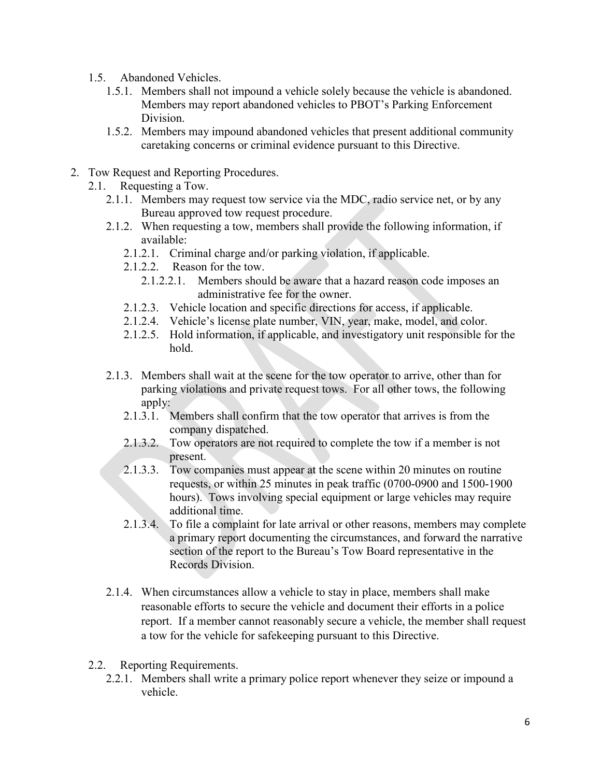- 1.5. Abandoned Vehicles.
	- 1.5.1. Members shall not impound a vehicle solely because the vehicle is abandoned. Members may report abandoned vehicles to PBOT's Parking Enforcement Division.
	- 1.5.2. Members may impound abandoned vehicles that present additional community caretaking concerns or criminal evidence pursuant to this Directive.
- 2. Tow Request and Reporting Procedures.
	- 2.1. Requesting a Tow.
		- 2.1.1. Members may request tow service via the MDC, radio service net, or by any Bureau approved tow request procedure.
		- 2.1.2. When requesting a tow, members shall provide the following information, if available:
			- 2.1.2.1. Criminal charge and/or parking violation, if applicable.
			- 2.1.2.2. Reason for the tow.
				- 2.1.2.2.1. Members should be aware that a hazard reason code imposes an administrative fee for the owner.
			- 2.1.2.3. Vehicle location and specific directions for access, if applicable.
			- 2.1.2.4. Vehicle's license plate number, VIN, year, make, model, and color.
			- 2.1.2.5. Hold information, if applicable, and investigatory unit responsible for the hold.
		- 2.1.3. Members shall wait at the scene for the tow operator to arrive, other than for parking violations and private request tows. For all other tows, the following apply:
			- 2.1.3.1. Members shall confirm that the tow operator that arrives is from the company dispatched.
			- 2.1.3.2. Tow operators are not required to complete the tow if a member is not present.
			- 2.1.3.3. Tow companies must appear at the scene within 20 minutes on routine requests, or within 25 minutes in peak traffic (0700-0900 and 1500-1900 hours). Tows involving special equipment or large vehicles may require additional time.
			- 2.1.3.4. To file a complaint for late arrival or other reasons, members may complete a primary report documenting the circumstances, and forward the narrative section of the report to the Bureau's Tow Board representative in the Records Division.
		- 2.1.4. When circumstances allow a vehicle to stay in place, members shall make reasonable efforts to secure the vehicle and document their efforts in a police report. If a member cannot reasonably secure a vehicle, the member shall request a tow for the vehicle for safekeeping pursuant to this Directive.
	- 2.2. Reporting Requirements.
		- 2.2.1. Members shall write a primary police report whenever they seize or impound a vehicle.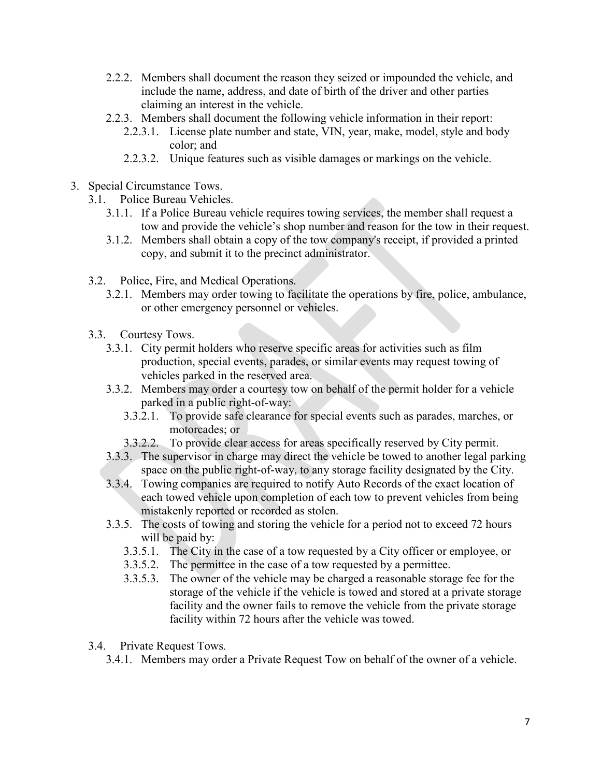- 2.2.2. Members shall document the reason they seized or impounded the vehicle, and include the name, address, and date of birth of the driver and other parties claiming an interest in the vehicle.
- 2.2.3. Members shall document the following vehicle information in their report:
	- 2.2.3.1. License plate number and state, VIN, year, make, model, style and body color; and
	- 2.2.3.2. Unique features such as visible damages or markings on the vehicle.
- 3. Special Circumstance Tows.
	- 3.1. Police Bureau Vehicles.
		- 3.1.1. If a Police Bureau vehicle requires towing services, the member shall request a tow and provide the vehicle's shop number and reason for the tow in their request.
		- 3.1.2. Members shall obtain a copy of the tow company's receipt, if provided a printed copy, and submit it to the precinct administrator.
	- 3.2. Police, Fire, and Medical Operations.
		- 3.2.1. Members may order towing to facilitate the operations by fire, police, ambulance, or other emergency personnel or vehicles.
	- 3.3. Courtesy Tows.
		- 3.3.1. City permit holders who reserve specific areas for activities such as film production, special events, parades, or similar events may request towing of vehicles parked in the reserved area.
		- 3.3.2. Members may order a courtesy tow on behalf of the permit holder for a vehicle parked in a public right-of-way:
			- 3.3.2.1. To provide safe clearance for special events such as parades, marches, or motorcades; or
			- 3.3.2.2. To provide clear access for areas specifically reserved by City permit.
		- 3.3.3. The supervisor in charge may direct the vehicle be towed to another legal parking space on the public right-of-way, to any storage facility designated by the City.
		- 3.3.4. Towing companies are required to notify Auto Records of the exact location of each towed vehicle upon completion of each tow to prevent vehicles from being mistakenly reported or recorded as stolen.
		- 3.3.5. The costs of towing and storing the vehicle for a period not to exceed 72 hours will be paid by:
			- 3.3.5.1. The City in the case of a tow requested by a City officer or employee, or
			- 3.3.5.2. The permittee in the case of a tow requested by a permittee.
			- 3.3.5.3. The owner of the vehicle may be charged a reasonable storage fee for the storage of the vehicle if the vehicle is towed and stored at a private storage facility and the owner fails to remove the vehicle from the private storage facility within 72 hours after the vehicle was towed.
	- 3.4. Private Request Tows.
		- 3.4.1. Members may order a Private Request Tow on behalf of the owner of a vehicle.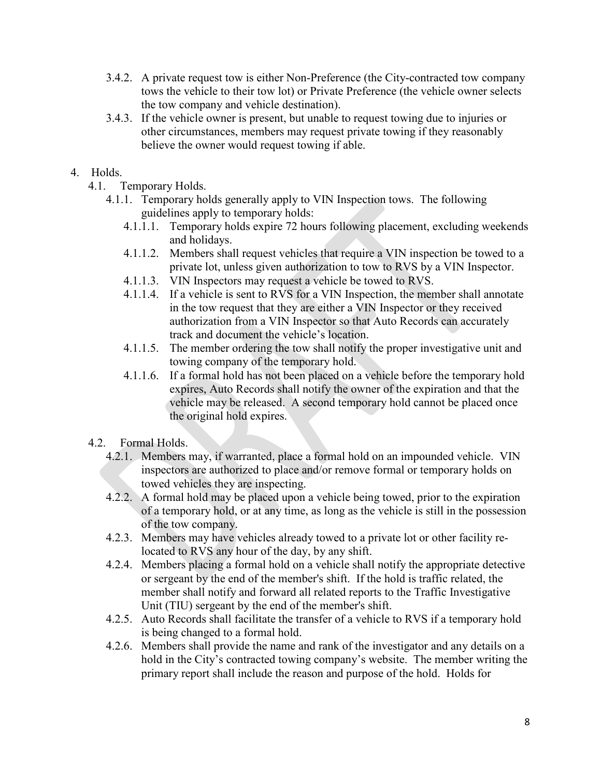- 3.4.2. A private request tow is either Non-Preference (the City-contracted tow company tows the vehicle to their tow lot) or Private Preference (the vehicle owner selects the tow company and vehicle destination).
- 3.4.3. If the vehicle owner is present, but unable to request towing due to injuries or other circumstances, members may request private towing if they reasonably believe the owner would request towing if able.
- 4. Holds.
	- 4.1. Temporary Holds.
		- 4.1.1. Temporary holds generally apply to VIN Inspection tows. The following guidelines apply to temporary holds:
			- 4.1.1.1. Temporary holds expire 72 hours following placement, excluding weekends and holidays.
			- 4.1.1.2. Members shall request vehicles that require a VIN inspection be towed to a private lot, unless given authorization to tow to RVS by a VIN Inspector.
			- 4.1.1.3. VIN Inspectors may request a vehicle be towed to RVS.
			- 4.1.1.4. If a vehicle is sent to RVS for a VIN Inspection, the member shall annotate in the tow request that they are either a VIN Inspector or they received authorization from a VIN Inspector so that Auto Records can accurately track and document the vehicle's location.
			- 4.1.1.5. The member ordering the tow shall notify the proper investigative unit and towing company of the temporary hold.
			- 4.1.1.6. If a formal hold has not been placed on a vehicle before the temporary hold expires, Auto Records shall notify the owner of the expiration and that the vehicle may be released. A second temporary hold cannot be placed once the original hold expires.
	- 4.2. Formal Holds.
		- 4.2.1. Members may, if warranted, place a formal hold on an impounded vehicle. VIN inspectors are authorized to place and/or remove formal or temporary holds on towed vehicles they are inspecting.
		- 4.2.2. A formal hold may be placed upon a vehicle being towed, prior to the expiration of a temporary hold, or at any time, as long as the vehicle is still in the possession of the tow company.
		- 4.2.3. Members may have vehicles already towed to a private lot or other facility relocated to RVS any hour of the day, by any shift.
		- 4.2.4. Members placing a formal hold on a vehicle shall notify the appropriate detective or sergeant by the end of the member's shift. If the hold is traffic related, the member shall notify and forward all related reports to the Traffic Investigative Unit (TIU) sergeant by the end of the member's shift.
		- 4.2.5. Auto Records shall facilitate the transfer of a vehicle to RVS if a temporary hold is being changed to a formal hold.
		- 4.2.6. Members shall provide the name and rank of the investigator and any details on a hold in the City's contracted towing company's website. The member writing the primary report shall include the reason and purpose of the hold. Holds for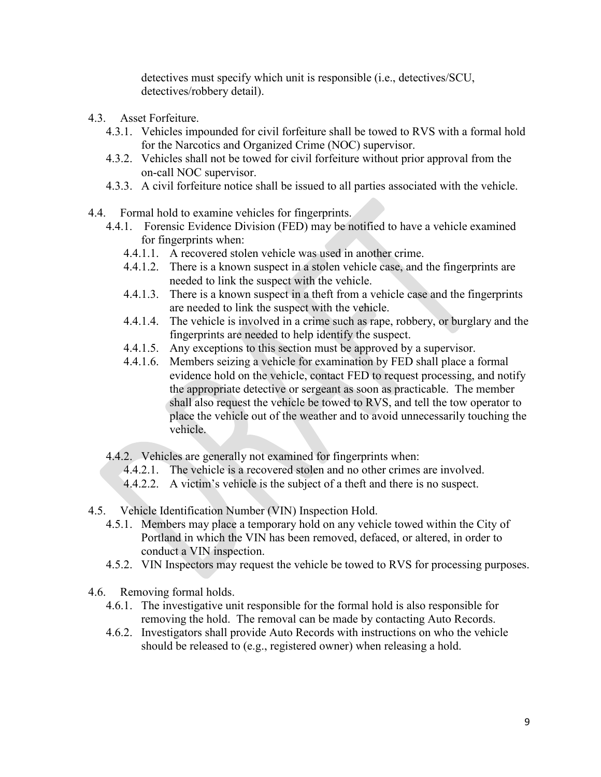detectives must specify which unit is responsible (i.e., detectives/SCU, detectives/robbery detail).

- 4.3. Asset Forfeiture.
	- 4.3.1. Vehicles impounded for civil forfeiture shall be towed to RVS with a formal hold for the Narcotics and Organized Crime (NOC) supervisor.
	- 4.3.2. Vehicles shall not be towed for civil forfeiture without prior approval from the on-call NOC supervisor.
	- 4.3.3. A civil forfeiture notice shall be issued to all parties associated with the vehicle.
- 4.4. Formal hold to examine vehicles for fingerprints.
	- 4.4.1. Forensic Evidence Division (FED) may be notified to have a vehicle examined for fingerprints when:
		- 4.4.1.1. A recovered stolen vehicle was used in another crime.
		- 4.4.1.2. There is a known suspect in a stolen vehicle case, and the fingerprints are needed to link the suspect with the vehicle.
		- 4.4.1.3. There is a known suspect in a theft from a vehicle case and the fingerprints are needed to link the suspect with the vehicle.
		- 4.4.1.4. The vehicle is involved in a crime such as rape, robbery, or burglary and the fingerprints are needed to help identify the suspect.
		- 4.4.1.5. Any exceptions to this section must be approved by a supervisor.
		- 4.4.1.6. Members seizing a vehicle for examination by FED shall place a formal evidence hold on the vehicle, contact FED to request processing, and notify the appropriate detective or sergeant as soon as practicable. The member shall also request the vehicle be towed to RVS, and tell the tow operator to place the vehicle out of the weather and to avoid unnecessarily touching the vehicle.
	- 4.4.2. Vehicles are generally not examined for fingerprints when:
		- 4.4.2.1. The vehicle is a recovered stolen and no other crimes are involved.
		- 4.4.2.2. A victim's vehicle is the subject of a theft and there is no suspect.
- 4.5. Vehicle Identification Number (VIN) Inspection Hold.
	- 4.5.1. Members may place a temporary hold on any vehicle towed within the City of Portland in which the VIN has been removed, defaced, or altered, in order to conduct a VIN inspection.
	- 4.5.2. VIN Inspectors may request the vehicle be towed to RVS for processing purposes.
- 4.6. Removing formal holds.
	- 4.6.1. The investigative unit responsible for the formal hold is also responsible for removing the hold. The removal can be made by contacting Auto Records.
	- 4.6.2. Investigators shall provide Auto Records with instructions on who the vehicle should be released to (e.g., registered owner) when releasing a hold.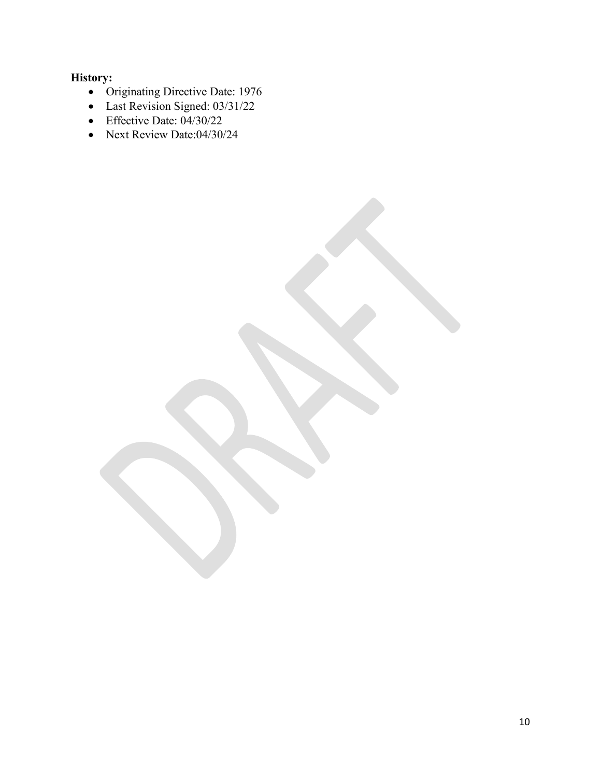# **History:**

- Originating Directive Date: 1976
- Last Revision Signed: 03/31/22
- Effective Date: 04/30/22
- Next Review Date:04/30/24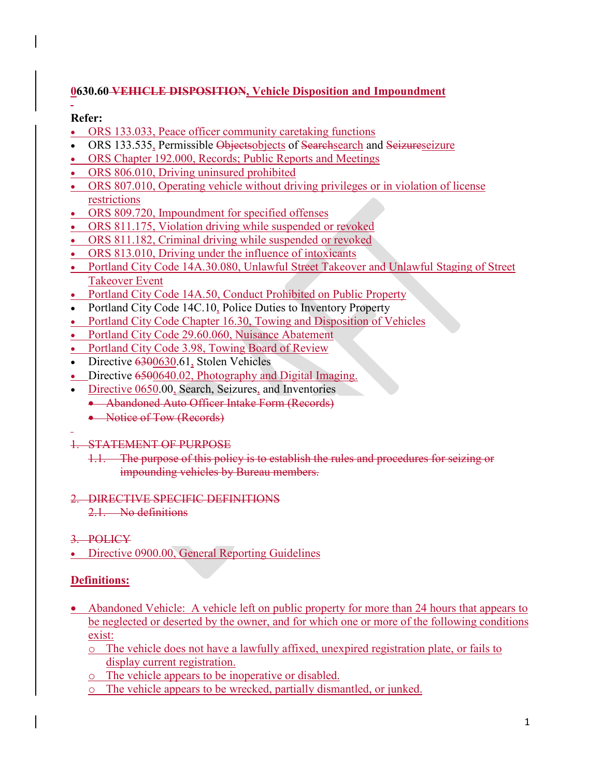# **0630.60 VEHICLE DISPOSITION, Vehicle Disposition and Impoundment**

# **Refer:**

- ORS 133.033, Peace officer community caretaking functions
- ORS 133.535, Permissible Objectsobjects of Searchsearch and Seizureseizure
- ORS Chapter 192.000, Records; Public Reports and Meetings
- ORS 806.010, Driving uninsured prohibited
- ORS 807.010, Operating vehicle without driving privileges or in violation of license restrictions
- ORS 809.720, Impoundment for specified offenses
- ORS 811.175, Violation driving while suspended or revoked
- ORS 811.182, Criminal driving while suspended or revoked
- ORS 813.010, Driving under the influence of intoxicants
- Portland City Code 14A.30.080, Unlawful Street Takeover and Unlawful Staging of Street Takeover Event
- Portland City Code 14A.50, Conduct Prohibited on Public Property
- Portland City Code 14C.10, Police Duties to Inventory Property
- Portland City Code Chapter 16.30, Towing and Disposition of Vehicles
- Portland City Code 29.60.060, Nuisance Abatement
- Portland City Code 3.98, Towing Board of Review
- Directive 6300630.61, Stolen Vehicles
- Directive 6500640.02, Photography and Digital Imaging.
- Directive 0650.00, Search, Seizures, and Inventories
	- Abandoned Auto Officer Intake Form (Records)
	- Notice of Tow (Records)
- 1. STATEMENT OF PURPOSE
	- 1.1. The purpose of this policy is to establish the rules and procedures for seizing or impounding vehicles by Bureau members.

# 2. DIRECTIVE SPECIFIC DEFINITIONS

- 2.1. No definitions
- 3. POLICY
- Directive 0900.00, General Reporting Guidelines

# **Definitions:**

- Abandoned Vehicle: A vehicle left on public property for more than 24 hours that appears to be neglected or deserted by the owner, and for which one or more of the following conditions exist:
	- o The vehicle does not have a lawfully affixed, unexpired registration plate, or fails to display current registration.
	- o The vehicle appears to be inoperative or disabled.
	- o The vehicle appears to be wrecked, partially dismantled, or junked.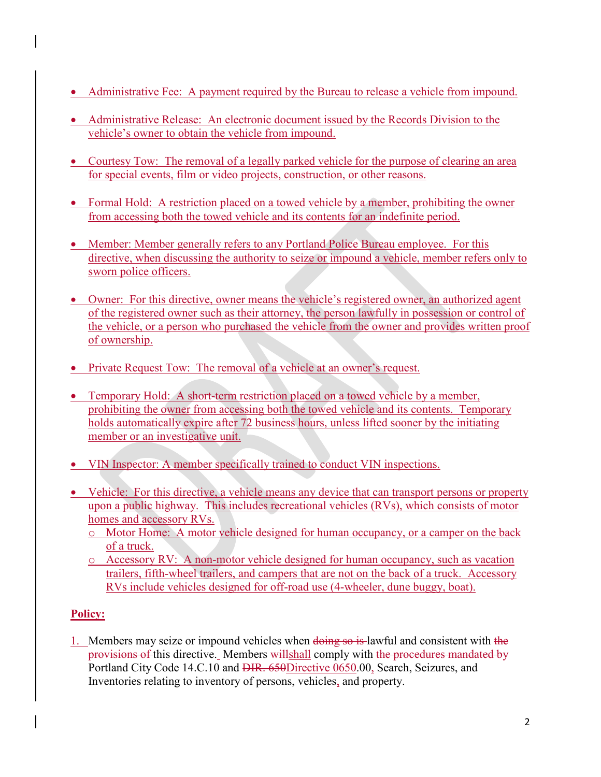- Administrative Fee: A payment required by the Bureau to release a vehicle from impound.
- Administrative Release: An electronic document issued by the Records Division to the vehicle's owner to obtain the vehicle from impound.
- Courtesy Tow: The removal of a legally parked vehicle for the purpose of clearing an area for special events, film or video projects, construction, or other reasons.
- Formal Hold: A restriction placed on a towed vehicle by a member, prohibiting the owner from accessing both the towed vehicle and its contents for an indefinite period.
- Member: Member generally refers to any Portland Police Bureau employee. For this directive, when discussing the authority to seize or impound a vehicle, member refers only to sworn police officers.
- Owner: For this directive, owner means the vehicle's registered owner, an authorized agent of the registered owner such as their attorney, the person lawfully in possession or control of the vehicle, or a person who purchased the vehicle from the owner and provides written proof of ownership.
- Private Request Tow: The removal of a vehicle at an owner's request.
- Temporary Hold: A short-term restriction placed on a towed vehicle by a member, prohibiting the owner from accessing both the towed vehicle and its contents. Temporary holds automatically expire after 72 business hours, unless lifted sooner by the initiating member or an investigative unit.
- VIN Inspector: A member specifically trained to conduct VIN inspections.
- Vehicle: For this directive, a vehicle means any device that can transport persons or property upon a public highway. This includes recreational vehicles (RVs), which consists of motor homes and accessory RVs.
	- o Motor Home: A motor vehicle designed for human occupancy, or a camper on the back of a truck.
	- o Accessory RV: A non-motor vehicle designed for human occupancy, such as vacation trailers, fifth-wheel trailers, and campers that are not on the back of a truck. Accessory RVs include vehicles designed for off-road use (4-wheeler, dune buggy, boat).

# **Policy:**

1. Members may seize or impound vehicles when doing so is lawful and consistent with the provisions of this directive. Members willshall comply with the procedures mandated by Portland City Code 14.C.10 and <del>DIR. 650</del>Directive 0650.00, Search, Seizures, and Inventories relating to inventory of persons, vehicles, and property.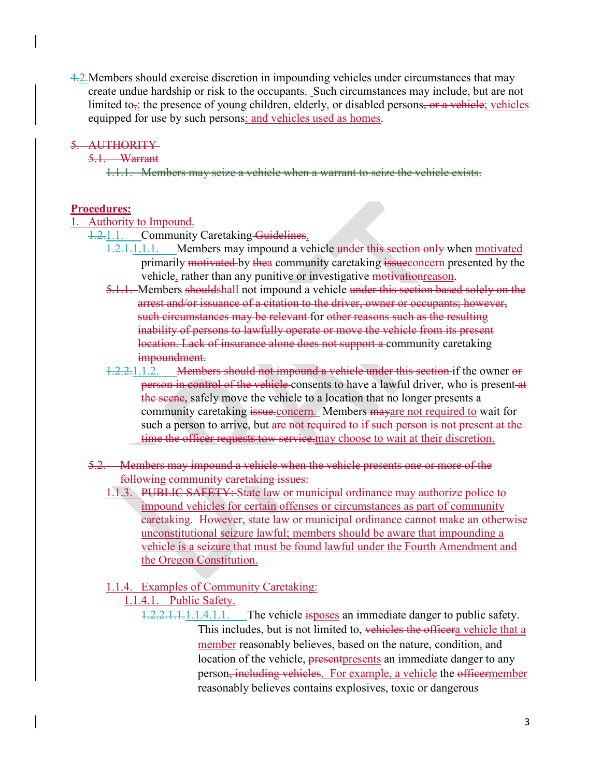4.2.Members should exercise discretion in impounding vehicles under circumstances that may create undue hardship or risk to the occupants. Such circumstances may include, but are not limited to<sub>5</sub>: the presence of young children, elderly, or disabled persons, or a vehicle; vehicles equipped for use by such persons; and vehicles used as homes.

### 5. AUTHORITY

### 5.1. Warrant

1.1.1. Members may seize a vehicle when a warrant to seize the vehicle exists.

### **Procedures:**

- 1. Authority to Impound.
	- 1.2.1.1. Community Caretaking Guidelines.
		- 1.2.1.1.1.1.1. Members may impound a vehicle under this section only when motivated primarily motivated by thea community caretaking issueconcern presented by the vehicle, rather than any punitive or investigative motivationreason.
		- 5.1.1. Members shouldshall not impound a vehicle under this section based solely on the arrest and/or issuance of a citation to the driver, owner or occupants; however, such circumstances may be relevant for other reasons such as the resulting inability of persons to lawfully operate or move the vehicle from its present location. Lack of insurance alone does not support a community caretaking impoundment.
		- 1.2.2.1.1.2. Members should not impound a vehicle under this section if the owner or person in control of the vehicle consents to have a lawful driver, who is present at the scene, safely move the vehicle to a location that no longer presents a community caretaking issue.concern. Members mayare not required to wait for such a person to arrive, but are not required to if such person is not present at the time the officer requests tow service may choose to wait at their discretion.
	- 5.2. Members may impound a vehicle when the vehicle presents one or more of the following community caretaking issues:
		- 1.1.3. PUBLIC SAFETY: State law or municipal ordinance may authorize police to impound vehicles for certain offenses or circumstances as part of community caretaking. However, state law or municipal ordinance cannot make an otherwise unconstitutional seizure lawful; members should be aware that impounding a vehicle is a seizure that must be found lawful under the Fourth Amendment and the Oregon Constitution.

### 1.1.4. Examples of Community Caretaking:

- 1.1.4.1. Public Safety.
	- 1.2.2.1.1.1.1.4.1.1. The vehicle isposes an immediate danger to public safety. This includes, but is not limited to, vehicles the officera vehicle that a member reasonably believes, based on the nature, condition, and location of the vehicle, present presents an immediate danger to any person, including vehicles. For example, a vehicle the officermember reasonably believes contains explosives, toxic or dangerous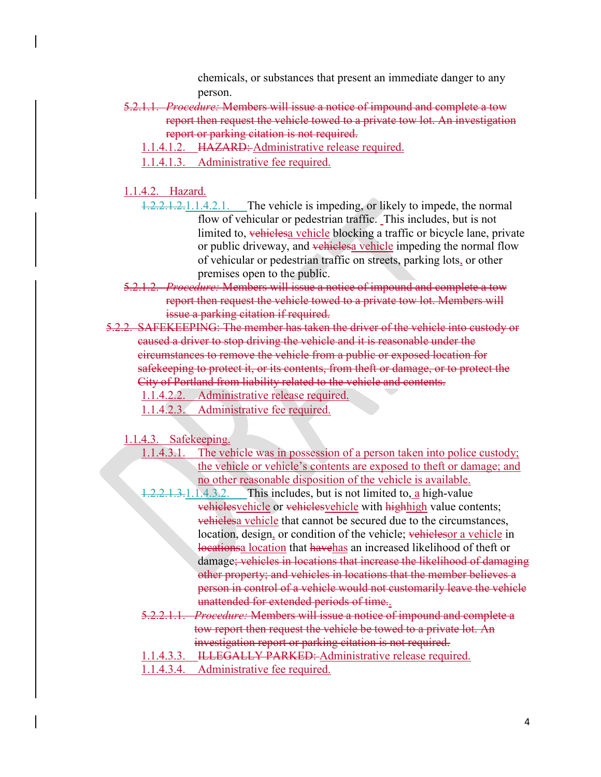chemicals, or substances that present an immediate danger to any person.

- 5.2.1.1. *Procedure:* Members will issue a notice of impound and complete a tow report then request the vehicle towed to a private tow lot. An investigation report or parking citation is not required.
	- 1.1.4.1.2. HAZARD: Administrative release required.
	- 1.1.4.1.3. Administrative fee required.
- 1.1.4.2. Hazard.
	- 1.2.2.1.2.1.1.4.2.1. The vehicle is impeding, or likely to impede, the normal flow of vehicular or pedestrian traffic. This includes, but is not limited to, vehiclesa vehicle blocking a traffic or bicycle lane, private or public driveway, and vehicles in vehicle impeding the normal flow of vehicular or pedestrian traffic on streets, parking lots, or other premises open to the public.
- 5.2.1.2. *Procedure:* Members will issue a notice of impound and complete a tow report then request the vehicle towed to a private tow lot. Members will issue a parking citation if required.
- 5.2.2. SAFEKEEPING: The member has taken the driver of the vehicle into custody or caused a driver to stop driving the vehicle and it is reasonable under the circumstances to remove the vehicle from a public or exposed location for safekeeping to protect it, or its contents, from theft or damage, or to protect the City of Portland from liability related to the vehicle and contents.
	- 1.1.4.2.2. Administrative release required.
	- 1.1.4.2.3. Administrative fee required.
	- 1.1.4.3. Safekeeping.
		- 1.1.4.3.1. The vehicle was in possession of a person taken into police custody; the vehicle or vehicle's contents are exposed to theft or damage; and no other reasonable disposition of the vehicle is available.
		- 1.2.2.1.3.1.1.4.3.2. This includes, but is not limited to, a high-value vehicles vehicle or vehicles vehicle with highhigh value contents; vehiclesa vehicle that cannot be secured due to the circumstances, location, design, or condition of the vehicle; vehiclesor a vehicle in locationsa location that havehas an increased likelihood of theft or damage; vehicles in locations that increase the likelihood of damaging other property; and vehicles in locations that the member believes a person in control of a vehicle would not customarily leave the vehicle unattended for extended periods of time..
		- 5.2.2.1.1. *Procedure:* Members will issue a notice of impound and complete a tow report then request the vehicle be towed to a private lot. An investigation report or parking citation is not required.
		- 1.1.4.3.3. **ILLEGALLY PARKED:** Administrative release required.
		- 1.1.4.3.4. Administrative fee required.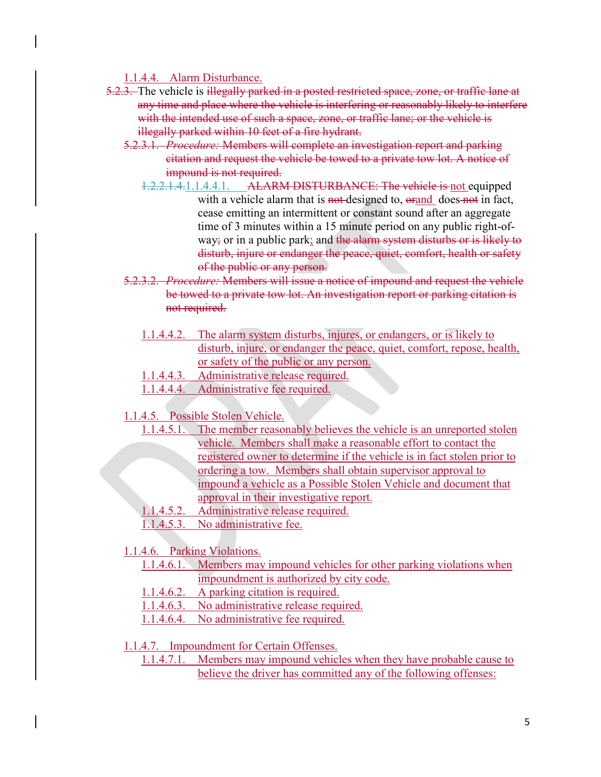1.1.4.4. Alarm Disturbance.

- 5.2.3. The vehicle is illegally parked in a posted restricted space, zone, or traffic lane at any time and place where the vehicle is interfering or reasonably likely to interfere with the intended use of such a space, zone, or traffic lane; or the vehicle is illegally parked within 10 feet of a fire hydrant.
	- 5.2.3.1. *Procedure:* Members will complete an investigation report and parking citation and request the vehicle be towed to a private tow lot. A notice of impound is not required.
		- 1.2.2.1.4.1.1.4.4.1. ALARM DISTURBANCE: The vehicle is not equipped with a vehicle alarm that is not-designed to, orand does not in fact, cease emitting an intermittent or constant sound after an aggregate time of 3 minutes within a 15 minute period on any public right-ofway; or in a public park; and the alarm system disturbs or is likely to disturb, injure or endanger the peace, quiet, comfort, health or safety of the public or any person.
	- 5.2.3.2. *Procedure:* Members will issue a notice of impound and request the vehicle be towed to a private tow lot. An investigation report or parking citation is not required.
		- 1.1.4.4.2. The alarm system disturbs, injures, or endangers, or is likely to disturb, injure, or endanger the peace, quiet, comfort, repose, health, or safety of the public or any person.
		- 1.1.4.4.3. Administrative release required.
		- 1.1.4.4.4. Administrative fee required.
	- 1.1.4.5. Possible Stolen Vehicle.
		- 1.1.4.5.1. The member reasonably believes the vehicle is an unreported stolen vehicle. Members shall make a reasonable effort to contact the registered owner to determine if the vehicle is in fact stolen prior to ordering a tow. Members shall obtain supervisor approval to impound a vehicle as a Possible Stolen Vehicle and document that approval in their investigative report.
		- 1.1.4.5.2. Administrative release required.
		- 1.1.4.5.3. No administrative fee.

1.1.4.6. Parking Violations.

- 1.1.4.6.1. Members may impound vehicles for other parking violations when impoundment is authorized by city code.
- 1.1.4.6.2. A parking citation is required.
- 1.1.4.6.3. No administrative release required.
- 1.1.4.6.4. No administrative fee required.

1.1.4.7. Impoundment for Certain Offenses.

1.1.4.7.1. Members may impound vehicles when they have probable cause to believe the driver has committed any of the following offenses: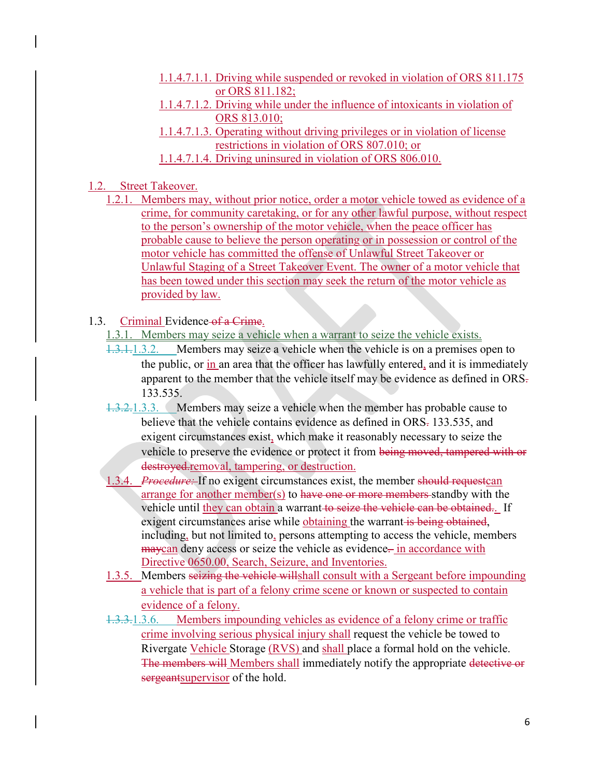- 1.1.4.7.1.1. Driving while suspended or revoked in violation of ORS 811.175 or ORS 811.182;
- 1.1.4.7.1.2. Driving while under the influence of intoxicants in violation of ORS 813.010;
- 1.1.4.7.1.3. Operating without driving privileges or in violation of license restrictions in violation of ORS 807.010; or
- 1.1.4.7.1.4. Driving uninsured in violation of ORS 806.010.

# 1.2. Street Takeover.

1.2.1. Members may, without prior notice, order a motor vehicle towed as evidence of a crime, for community caretaking, or for any other lawful purpose, without respect to the person's ownership of the motor vehicle, when the peace officer has probable cause to believe the person operating or in possession or control of the motor vehicle has committed the offense of Unlawful Street Takeover or Unlawful Staging of a Street Takeover Event. The owner of a motor vehicle that has been towed under this section may seek the return of the motor vehicle as provided by law.

# 1.3. Criminal Evidence of a Crime.

- 1.3.1. Members may seize a vehicle when a warrant to seize the vehicle exists.
- 1.3.1.1.3.2. Members may seize a vehicle when the vehicle is on a premises open to the public, or in an area that the officer has lawfully entered, and it is immediately apparent to the member that the vehicle itself may be evidence as defined in ORS. 133.535.
- 1.3.2.1.3.3. Members may seize a vehicle when the member has probable cause to believe that the vehicle contains evidence as defined in ORS-133.535, and exigent circumstances exist, which make it reasonably necessary to seize the vehicle to preserve the evidence or protect it from being moved, tampered with or destroyed.removal, tampering, or destruction.
- 1.3.4. *Procedure:* If no exigent circumstances exist, the member should requestcan arrange for another member(s) to have one or more members standby with the vehicle until they can obtain a warrant to seize the vehicle can be obtained. If exigent circumstances arise while obtaining the warrant is being obtained, including, but not limited to, persons attempting to access the vehicle, members maycan deny access or seize the vehicle as evidence- in accordance with Directive 0650.00, Search, Seizure, and Inventories.
- 1.3.5. Members seizing the vehicle willshall consult with a Sergeant before impounding a vehicle that is part of a felony crime scene or known or suspected to contain evidence of a felony.
- 1.3.3.1.3.6. Members impounding vehicles as evidence of a felony crime or traffic crime involving serious physical injury shall request the vehicle be towed to Rivergate Vehicle Storage (RVS) and shall place a formal hold on the vehicle. The members will Members shall immediately notify the appropriate detective or sergeant supervisor of the hold.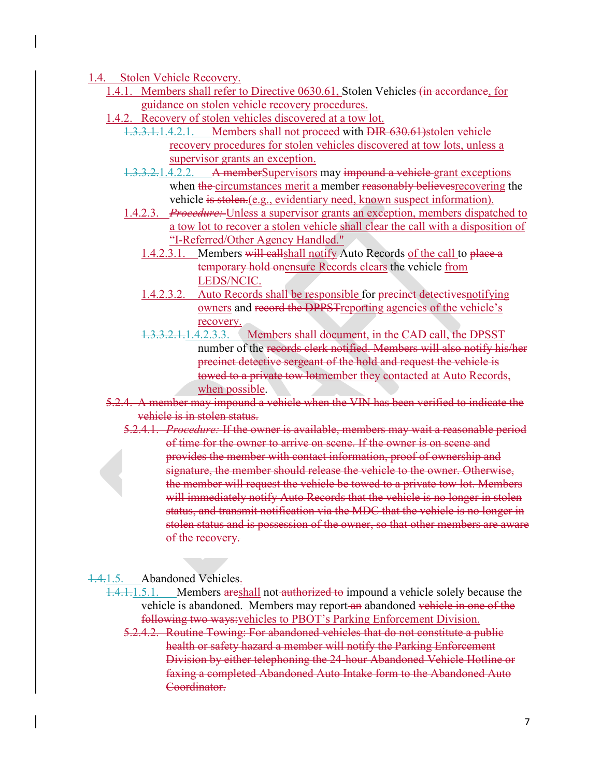1.4. Stolen Vehicle Recovery.

- 1.4.1. Members shall refer to Directive 0630.61, Stolen Vehicles (in accordance, for guidance on stolen vehicle recovery procedures.
- 1.4.2. Recovery of stolen vehicles discovered at a tow lot.
	- 1.3.3.1.1.4.2.1. Members shall not proceed with DIR 630.61)stolen vehicle recovery procedures for stolen vehicles discovered at tow lots, unless a supervisor grants an exception.
	- 1.3.3.2.1.4.2.2. A member Supervisors may impound a vehicle grant exceptions when the circumstances merit a member reasonably believes recovering the vehicle is stolen.(e.g., evidentiary need, known suspect information).
	- 1.4.2.3. *Procedure:* Unless a supervisor grants an exception, members dispatched to a tow lot to recover a stolen vehicle shall clear the call with a disposition of "I-Referred/Other Agency Handled."
		- 1.4.2.3.1. Members will callshall notify Auto Records of the call to place a temporary hold onensure Records clears the vehicle from LEDS/NCIC.
		- 1.4.2.3.2. Auto Records shall be responsible for precinct detectives notifying owners and record the DPPSTreporting agencies of the vehicle's recovery.
		- 1.3.3.2.1.1.4.2.3.3. Members shall document, in the CAD call, the DPSST number of the records clerk notified. Members will also notify his/her precinct detective sergeant of the hold and request the vehicle is towed to a private tow lotmember they contacted at Auto Records, when possible.
- 5.2.4. A member may impound a vehicle when the VIN has been verified to indicate the vehicle is in stolen status.
	- 5.2.4.1. *Procedure:* If the owner is available, members may wait a reasonable period of time for the owner to arrive on scene. If the owner is on scene and provides the member with contact information, proof of ownership and signature, the member should release the vehicle to the owner. Otherwise, the member will request the vehicle be towed to a private tow lot. Members will immediately notify Auto Records that the vehicle is no longer in stolen status, and transmit notification via the MDC that the vehicle is no longer in stolen status and is possession of the owner, so that other members are aware of the recovery.

# 1.4.1.5. Abandoned Vehicles.

- 1.4.1.1.5.1. Members areshall not authorized to impound a vehicle solely because the vehicle is abandoned. Members may report an abandoned vehicle in one of the following two ways:vehicles to PBOT's Parking Enforcement Division.
	- 5.2.4.2. Routine Towing: For abandoned vehicles that do not constitute a public health or safety hazard a member will notify the Parking Enforcement Division by either telephoning the 24-hour Abandoned Vehicle Hotline or faxing a completed Abandoned Auto Intake form to the Abandoned Auto Coordinator.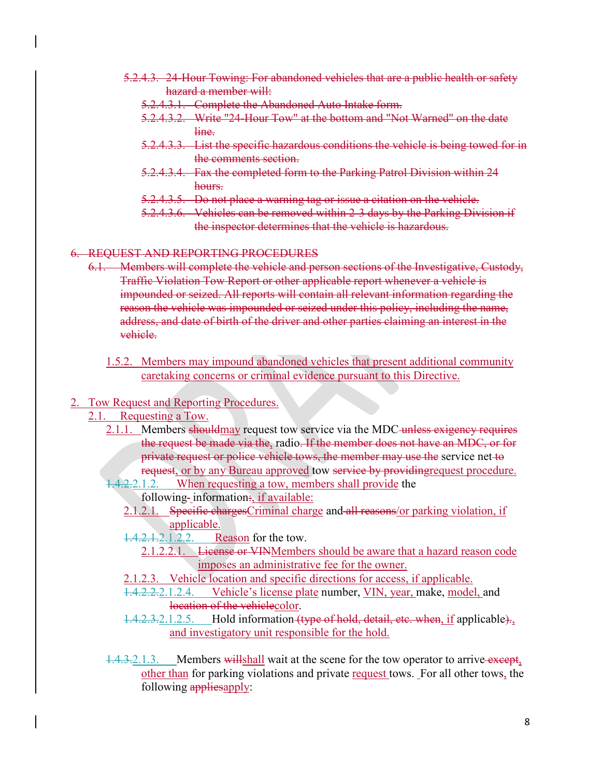- 5.2.4.3. 24-Hour Towing: For abandoned vehicles that are a public health or safety hazard a member will:
	- 5.2.4.3.1. Complete the Abandoned Auto Intake form.
	- 5.2.4.3.2. Write "24-Hour Tow" at the bottom and "Not Warned" on the date line.
	- 5.2.4.3.3. List the specific hazardous conditions the vehicle is being towed for in the comments section.
	- 5.2.4.3.4. Fax the completed form to the Parking Patrol Division within 24 hours.
	- 5.2.4.3.5. Do not place a warning tag or issue a citation on the vehicle.
	- 5.2.4.3.6. Vehicles can be removed within 2-3 days by the Parking Division if the inspector determines that the vehicle is hazardous.

### 6. REQUEST AND REPORTING PROCEDURES

- 6.1. Members will complete the vehicle and person sections of the Investigative, Custody, Traffic Violation Tow Report or other applicable report whenever a vehicle is impounded or seized. All reports will contain all relevant information regarding the reason the vehicle was impounded or seized under this policy, including the name, address, and date of birth of the driver and other parties claiming an interest in the vehicle.
	- 1.5.2. Members may impound abandoned vehicles that present additional community caretaking concerns or criminal evidence pursuant to this Directive.

### 2. Tow Request and Reporting Procedures.

- 2.1. Requesting a Tow.
	- 2.1.1. Members should may request tow service via the MDC unless exigency requires the request be made via the, radio. If the member does not have an MDC, or for private request or police vehicle tows, the member may use the service net to request, or by any Bureau approved tow service by providing request procedure.
	- 1.4.2.2.1.2. When requesting a tow, members shall provide the  $following$ - information÷, if available:
		- 2.1.2.1. Specific charges Criminal charge and all reasons/or parking violation, if applicable.
		- 1.4.2.1.2.1.2.2. Reason for the tow.
			- 2.1.2.2.1. License or VINMembers should be aware that a hazard reason code imposes an administrative fee for the owner.
		- 2.1.2.3. Vehicle location and specific directions for access, if applicable.
		- 1.4.2.2.2.1.2.4. Vehicle's license plate number, VIN, year, make, model, and location of the vehiclecolor.
		- 1.4.2.3.2.1.2.5. Hold information (type of hold, detail, etc. when, if applicable). and investigatory unit responsible for the hold.
	- 1.4.3.2.1.3. Members will shall wait at the scene for the tow operator to arrive-except, other than for parking violations and private request tows. For all other tows, the following appliesapply: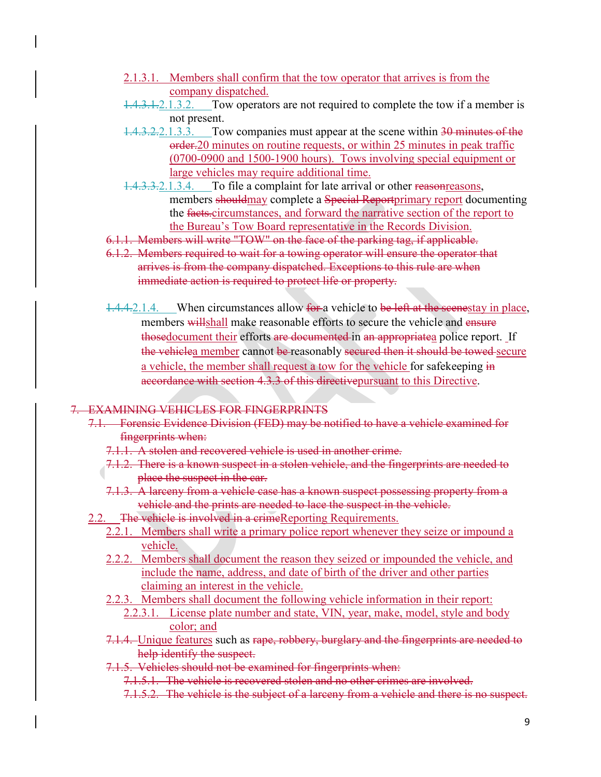- 2.1.3.1. Members shall confirm that the tow operator that arrives is from the company dispatched.
- 1.4.3.1.2.1.3.2. Tow operators are not required to complete the tow if a member is not present.
- 1.4.3.2.2.1.3.3. Tow companies must appear at the scene within 30 minutes of the order. 20 minutes on routine requests, or within 25 minutes in peak traffic (0700-0900 and 1500-1900 hours). Tows involving special equipment or large vehicles may require additional time.
- 1.4.3.3.2.1.3.4. To file a complaint for late arrival or other reasonreasons, members shouldmay complete a Special Reportprimary report documenting the facts.circumstances, and forward the narrative section of the report to the Bureau's Tow Board representative in the Records Division.
- 6.1.1. Members will write "TOW" on the face of the parking tag, if applicable.
- 6.1.2. Members required to wait for a towing operator will ensure the operator that arrives is from the company dispatched. Exceptions to this rule are when immediate action is required to protect life or property.
- 1.4.4.2.1.4. When circumstances allow for a vehicle to be left at the scenestay in place, members willshall make reasonable efforts to secure the vehicle and ensure thosedocument their efforts are documented in an appropriatea police report. If the vehiclea member cannot be reasonably secured then it should be towed secure a vehicle, the member shall request a tow for the vehicle for safekeeping in accordance with section 4.3.3 of this directivepursuant to this Directive.

#### 7. EXAMINING VEHICLES FOR FINGERPRINTS

- 7.1. Forensic Evidence Division (FED) may be notified to have a vehicle examined for fingerprints when:
	- 7.1.1. A stolen and recovered vehicle is used in another crime.
	- 7.1.2. There is a known suspect in a stolen vehicle, and the fingerprints are needed to place the suspect in the car.
	- 7.1.3. A larceny from a vehicle case has a known suspect possessing property from a vehicle and the prints are needed to lace the suspect in the vehicle.
- 2.2. The vehicle is involved in a crimeReporting Requirements.
	- 2.2.1. Members shall write a primary police report whenever they seize or impound a vehicle.
	- 2.2.2. Members shall document the reason they seized or impounded the vehicle, and include the name, address, and date of birth of the driver and other parties claiming an interest in the vehicle.
	- 2.2.3. Members shall document the following vehicle information in their report:
		- 2.2.3.1. License plate number and state, VIN, year, make, model, style and body color; and
	- 7.1.4. Unique features such as rape, robbery, burglary and the fingerprints are needed to help identify the suspect.
	- 7.1.5. Vehicles should not be examined for fingerprints when:
		- 7.1.5.1. The vehicle is recovered stolen and no other crimes are involved.
		- 7.1.5.2. The vehicle is the subject of a larceny from a vehicle and there is no suspect.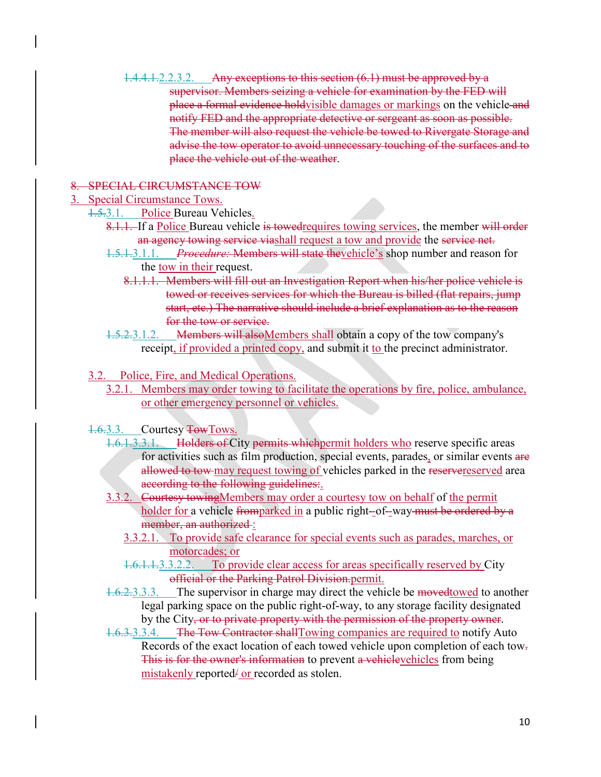1.4.4.1.2.2.3.2. Any exceptions to this section (6.1) must be approved by a supervisor. Members seizing a vehicle for examination by the FED will place a formal evidence holdvisible damages or markings on the vehicle-and notify FED and the appropriate detective or sergeant as soon as possible. The member will also request the vehicle be towed to Rivergate Storage and advise the tow operator to avoid unnecessary touching of the surfaces and to place the vehicle out of the weather.

### 8. SPECIAL CIRCUMSTANCE TOW

### 3. Special Circumstance Tows.

- 1.5.3.1. Police Bureau Vehicles.
	- 8.1.1. If a Police Bureau vehicle is towed requires towing services, the member will order an agency towing service viashall request a tow and provide the service net.
	- 1.5.1.3.1.1. *Procedure:* Members will state thevehicle's shop number and reason for the tow in their request.
		- 8.1.1.1. Members will fill out an Investigation Report when his/her police vehicle is towed or receives services for which the Bureau is billed (flat repairs, jump start, etc.) The narrative should include a brief explanation as to the reason for the tow or service.
	- 1.5.2.3.1.2. Members will alsoMembers shall obtain a copy of the tow company's receipt, if provided a printed copy, and submit it to the precinct administrator.
- 3.2. Police, Fire, and Medical Operations.
	- 3.2.1. Members may order towing to facilitate the operations by fire, police, ambulance, or other emergency personnel or vehicles.
- 1.6.3.3. Courtesy <del>Tow</del>Tows.
	- 1.6.1.3.3.1. Holders of City permits whichpermit holders who reserve specific areas for activities such as film production, special events, parades, or similar events are allowed to tow may request towing of vehicles parked in the reservereserved area according to the following guidelines:
	- 3.3.2. Courtesy towing Members may order a courtesy tow on behalf of the permit holder for a vehicle fromparked in a public right-of--way must be ordered by a member, an authorized :
		- 3.3.2.1. To provide safe clearance for special events such as parades, marches, or motorcades; or
		- 1.6.1.1.3.3.2.2. To provide clear access for areas specifically reserved by City official or the Parking Patrol Division.permit.
	- 1.6.2.3.3.3. The supervisor in charge may direct the vehicle be movedtowed to another legal parking space on the public right-of-way, to any storage facility designated by the City, or to private property with the permission of the property owner.
	- 1.6.3.3.3.4. The Tow Contractor shallTowing companies are required to notify Auto Records of the exact location of each towed vehicle upon completion of each tow. This is for the owner's information to prevent a vehiclevehicles from being mistakenly reported or recorded as stolen.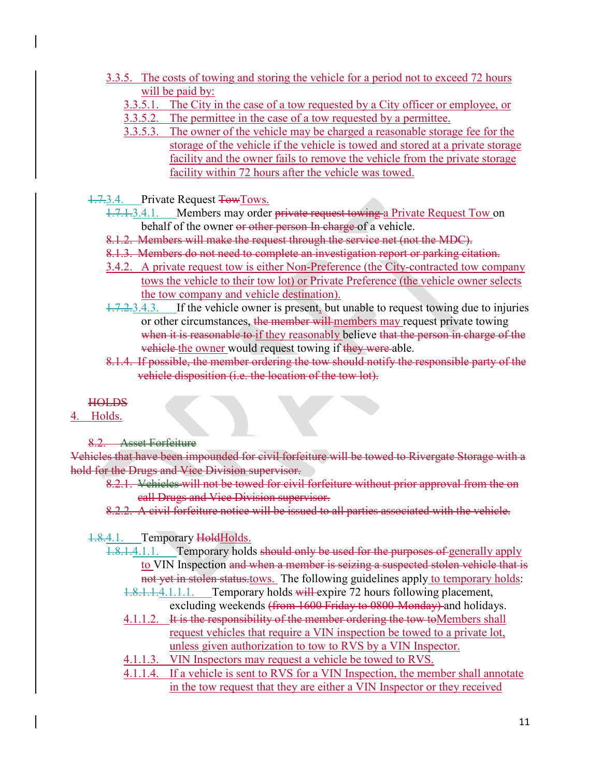- 3.3.5. The costs of towing and storing the vehicle for a period not to exceed 72 hours will be paid by:
	- 3.3.5.1. The City in the case of a tow requested by a City officer or employee, or
	- 3.3.5.2. The permittee in the case of a tow requested by a permittee.
	- 3.3.5.3. The owner of the vehicle may be charged a reasonable storage fee for the storage of the vehicle if the vehicle is towed and stored at a private storage facility and the owner fails to remove the vehicle from the private storage facility within 72 hours after the vehicle was towed.
- 1.7.3.4. Private Request TowTows.
	- 1.7.1.3.4.1. Members may order private request towing a Private Request Tow on behalf of the owner or other person In charge of a vehicle.
	- 8.1.2. Members will make the request through the service net (not the MDC).
	- 8.1.3. Members do not need to complete an investigation report or parking citation.
	- 3.4.2. A private request tow is either Non-Preference (the City-contracted tow company tows the vehicle to their tow lot) or Private Preference (the vehicle owner selects the tow company and vehicle destination).
	- 1.7.2.3.4.3. If the vehicle owner is present, but unable to request towing due to injuries or other circumstances, the member will members may request private towing when it is reasonable to if they reasonably believe that the person in charge of the vehicle the owner would request towing if they were able.
	- 8.1.4. If possible, the member ordering the tow should notify the responsible party of the vehicle disposition (i.e. the location of the tow lot).

### HOLDS

- 4. Holds.
	- 8.2. Asset Forfeiture

Vehicles that have been impounded for civil forfeiture will be towed to Rivergate Storage with a hold for the Drugs and Vice Division supervisor.

- 8.2.1. Vehicles will not be towed for civil forfeiture without prior approval from the on call Drugs and Vice Division supervisor.
- 8.2.2. A civil forfeiture notice will be issued to all parties associated with the vehicle.

### 1.8.4.1. Temporary HoldHolds.

- 1.8.1.4.1.1. Temporary holds should only be used for the purposes of generally apply to VIN Inspection and when a member is seizing a suspected stolen vehicle that is not yet in stolen status.tows. The following guidelines apply to temporary holds:
	- 1.8.1.1.4.1.1.1. Temporary holds will expire 72 hours following placement, excluding weekends (from 1600 Friday to 0800-Monday) and holidays.
	- 4.1.1.2. It is the responsibility of the member ordering the tow to Members shall request vehicles that require a VIN inspection be towed to a private lot, unless given authorization to tow to RVS by a VIN Inspector.
	- 4.1.1.3. VIN Inspectors may request a vehicle be towed to RVS.
	- 4.1.1.4. If a vehicle is sent to RVS for a VIN Inspection, the member shall annotate in the tow request that they are either a VIN Inspector or they received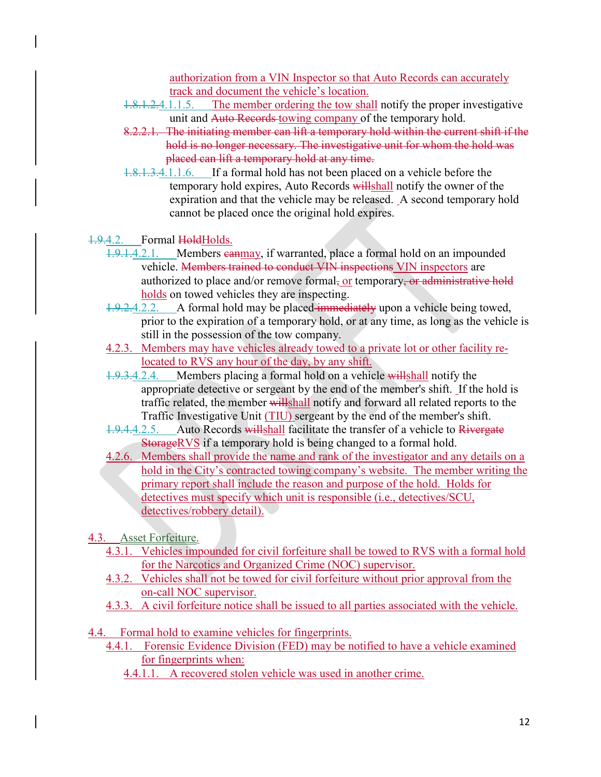authorization from a VIN Inspector so that Auto Records can accurately track and document the vehicle's location.

- 1.8.1.2.4.1.1.5. The member ordering the tow shall notify the proper investigative unit and Auto Records towing company of the temporary hold.
- 8.2.2.1. The initiating member can lift a temporary hold within the current shift if the hold is no longer necessary. The investigative unit for whom the hold was placed can lift a temporary hold at any time.
- 1.8.1.3.4.1.1.6. If a formal hold has not been placed on a vehicle before the temporary hold expires, Auto Records willshall notify the owner of the expiration and that the vehicle may be released. A second temporary hold cannot be placed once the original hold expires.
- 1.9.4.2. Formal HoldHolds.
	- 1.9.1.4.2.1. Members canmay, if warranted, place a formal hold on an impounded vehicle. Members trained to conduct VIN inspections VIN inspectors are authorized to place and/or remove formal, or temporary, or administrative hold holds on towed vehicles they are inspecting.
	- 1.9.2.4.2.2. A formal hold may be placed immediately upon a vehicle being towed, prior to the expiration of a temporary hold, or at any time, as long as the vehicle is still in the possession of the tow company.
	- 4.2.3. Members may have vehicles already towed to a private lot or other facility relocated to RVS any hour of the day, by any shift.
	- 1.9.3.4.2.4. Members placing a formal hold on a vehicle willshall notify the appropriate detective or sergeant by the end of the member's shift. If the hold is traffic related, the member willshall notify and forward all related reports to the Traffic Investigative Unit (TIU) sergeant by the end of the member's shift.
	- 1.9.4.4.2.5. Auto Records willshall facilitate the transfer of a vehicle to Rivergate StorageRVS if a temporary hold is being changed to a formal hold.
	- 4.2.6. Members shall provide the name and rank of the investigator and any details on a hold in the City's contracted towing company's website. The member writing the primary report shall include the reason and purpose of the hold. Holds for detectives must specify which unit is responsible (i.e., detectives/SCU, detectives/robbery detail).

# 4.3. Asset Forfeiture.

- 4.3.1. Vehicles impounded for civil forfeiture shall be towed to RVS with a formal hold for the Narcotics and Organized Crime (NOC) supervisor.
- 4.3.2. Vehicles shall not be towed for civil forfeiture without prior approval from the on-call NOC supervisor.
- 4.3.3. A civil forfeiture notice shall be issued to all parties associated with the vehicle.
- 4.4. Formal hold to examine vehicles for fingerprints.
	- 4.4.1. Forensic Evidence Division (FED) may be notified to have a vehicle examined for fingerprints when:
		- 4.4.1.1. A recovered stolen vehicle was used in another crime.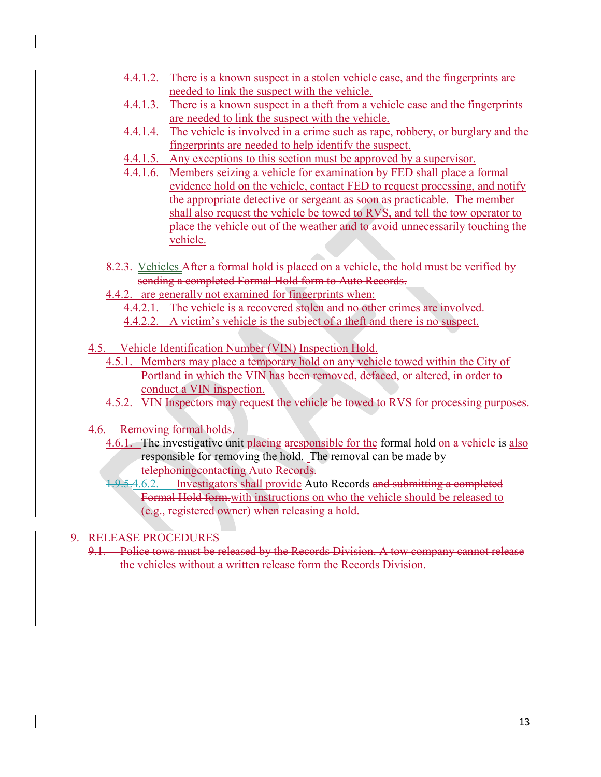- 4.4.1.2. There is a known suspect in a stolen vehicle case, and the fingerprints are needed to link the suspect with the vehicle.
- 4.4.1.3. There is a known suspect in a theft from a vehicle case and the fingerprints are needed to link the suspect with the vehicle.
- 4.4.1.4. The vehicle is involved in a crime such as rape, robbery, or burglary and the fingerprints are needed to help identify the suspect.
- 4.4.1.5. Any exceptions to this section must be approved by a supervisor.
- 4.4.1.6. Members seizing a vehicle for examination by FED shall place a formal evidence hold on the vehicle, contact FED to request processing, and notify the appropriate detective or sergeant as soon as practicable. The member shall also request the vehicle be towed to RVS, and tell the tow operator to place the vehicle out of the weather and to avoid unnecessarily touching the vehicle.
- 8.2.3. Vehicles After a formal hold is placed on a vehicle, the hold must be verified by sending a completed Formal Hold form to Auto Records.
- 4.4.2. are generally not examined for fingerprints when:
	- 4.4.2.1. The vehicle is a recovered stolen and no other crimes are involved.
	- 4.4.2.2. A victim's vehicle is the subject of a theft and there is no suspect.
- 4.5. Vehicle Identification Number (VIN) Inspection Hold.
	- 4.5.1. Members may place a temporary hold on any vehicle towed within the City of Portland in which the VIN has been removed, defaced, or altered, in order to conduct a VIN inspection.
	- 4.5.2. VIN Inspectors may request the vehicle be towed to RVS for processing purposes.
- 4.6. Removing formal holds.
	- 4.6.1. The investigative unit placing aresponsible for the formal hold on a vehicle is also responsible for removing the hold. The removal can be made by telephoningcontacting Auto Records.
	- 1.9.5.4.6.2. Investigators shall provide Auto Records and submitting a completed Formal Hold form.with instructions on who the vehicle should be released to (e.g., registered owner) when releasing a hold.
- 9. RELEASE PROCEDURES
	- 9.1. Police tows must be released by the Records Division. A tow company cannot release the vehicles without a written release form the Records Division.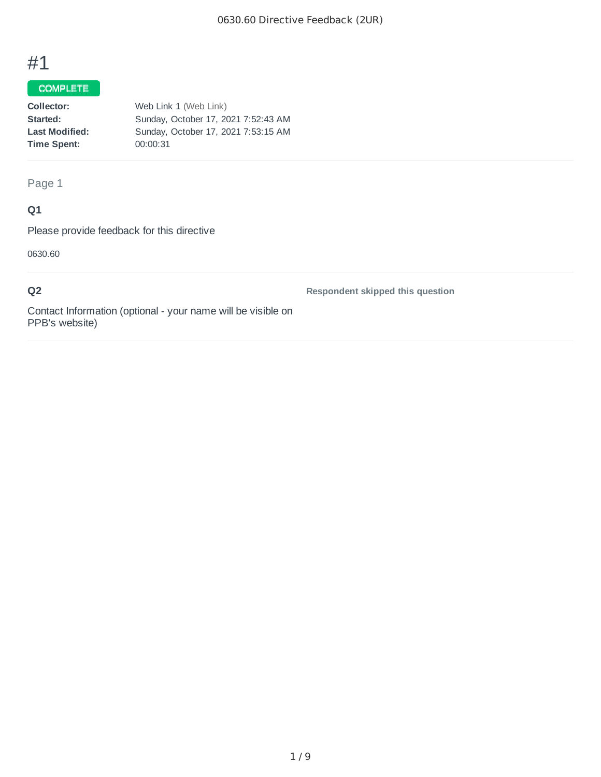# COMPLETE

| Collector:            | Web Link 1 (Web Link)               |
|-----------------------|-------------------------------------|
| Started:              | Sunday, October 17, 2021 7:52:43 AM |
| <b>Last Modified:</b> | Sunday, October 17, 2021 7:53:15 AM |
| Time Spent:           | 00:00:31                            |
|                       |                                     |

# Page 1

# **Q1**

Please provide feedback for this directive

0630.60

# **Q2**

**Respondent skipped this question**

Contact Information (optional - your name will be visible on PPB's website)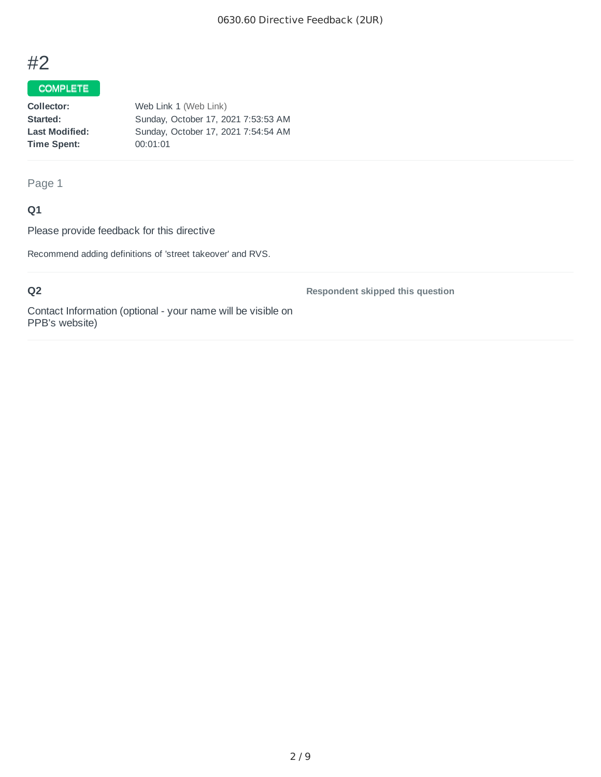# COMPLETE

| Collector:            | Web Link 1 (Web Link)               |
|-----------------------|-------------------------------------|
| Started:              | Sunday, October 17, 2021 7:53:53 AM |
| <b>Last Modified:</b> | Sunday, October 17, 2021 7:54:54 AM |
| Time Spent:           | 00:01:01                            |
|                       |                                     |

### Page 1

# **Q1**

Please provide feedback for this directive

Recommend adding definitions of 'street takeover' and RVS.

# **Q2**

**Respondent skipped this question**

Contact Information (optional - your name will be visible on PPB's website)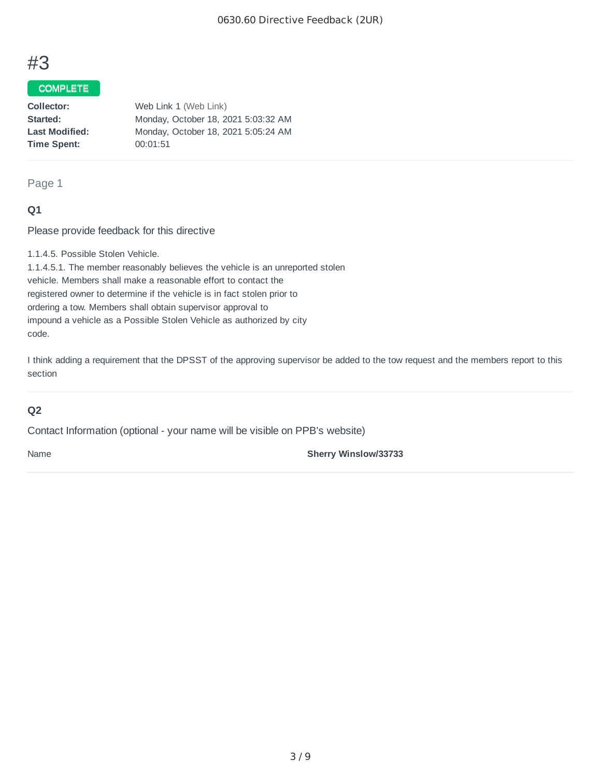### COMPLETE

| Collector:            | Web Link 1 (Web Link)               |
|-----------------------|-------------------------------------|
| Started:              | Monday, October 18, 2021 5:03:32 AM |
| <b>Last Modified:</b> | Monday, October 18, 2021 5:05:24 AM |
| Time Spent:           | 00:01:51                            |
|                       |                                     |

### Page 1

### **Q1**

Please provide feedback for this directive

1.1.4.5. Possible Stolen Vehicle.

1.1.4.5.1. The member reasonably believes the vehicle is an unreported stolen vehicle. Members shall make a reasonable effort to contact the registered owner to determine if the vehicle is in fact stolen prior to ordering a tow. Members shall obtain supervisor approval to impound a vehicle as a Possible Stolen Vehicle as authorized by city code.

I think adding a requirement that the DPSST of the approving supervisor be added to the tow request and the members report to this section

# **Q2**

Contact Information (optional - your name will be visible on PPB's website)

Name **Sherry Winslow/33733**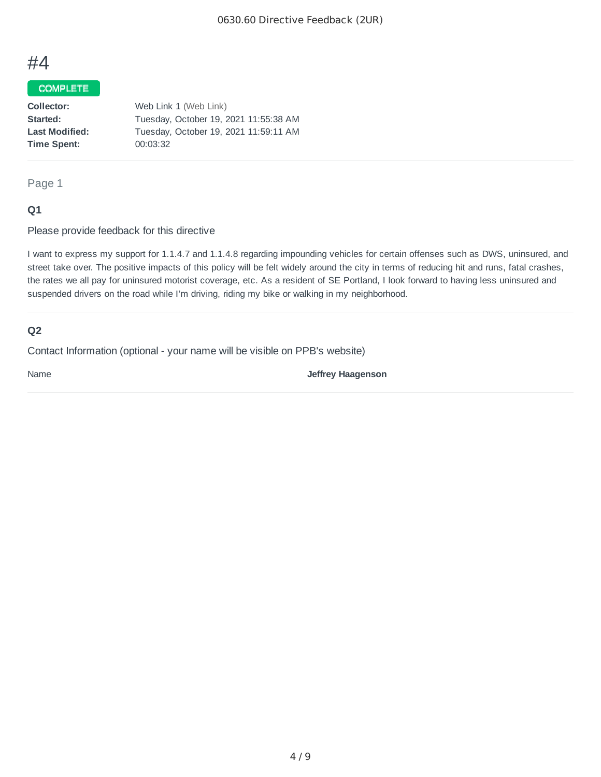# COMPLETE

| Web Link 1 (Web Link)                 |
|---------------------------------------|
| Tuesday, October 19, 2021 11:55:38 AM |
| Tuesday, October 19, 2021 11:59:11 AM |
|                                       |
|                                       |

Page 1

# **Q1**

Please provide feedback for this directive

I want to express my support for 1.1.4.7 and 1.1.4.8 regarding impounding vehicles for certain offenses such as DWS, uninsured, and street take over. The positive impacts of this policy will be felt widely around the city in terms of reducing hit and runs, fatal crashes, the rates we all pay for uninsured motorist coverage, etc. As a resident of SE Portland, I look forward to having less uninsured and suspended drivers on the road while I'm driving, riding my bike or walking in my neighborhood.

# **Q2**

Contact Information (optional - your name will be visible on PPB's website)

Name **Jeffrey Haagenson**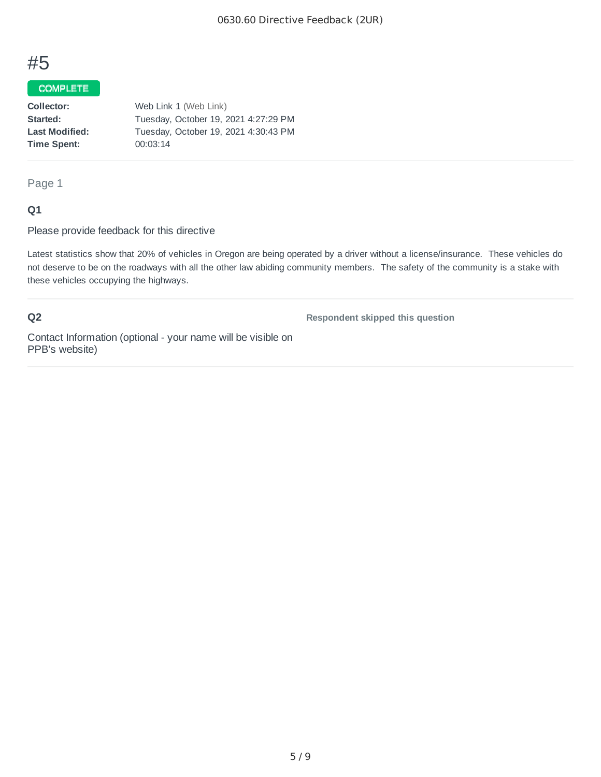### COMPLETE

| Web Link 1 (Web Link)                |
|--------------------------------------|
| Tuesday, October 19, 2021 4:27:29 PM |
| Tuesday, October 19, 2021 4:30:43 PM |
| 00:03:14                             |
|                                      |

### Page 1

### **Q1**

Please provide feedback for this directive

Latest statistics show that 20% of vehicles in Oregon are being operated by a driver without a license/insurance. These vehicles do not deserve to be on the roadways with all the other law abiding community members. The safety of the community is a stake with these vehicles occupying the highways.

# **Q2**

**Respondent skipped this question**

Contact Information (optional - your name will be visible on PPB's website)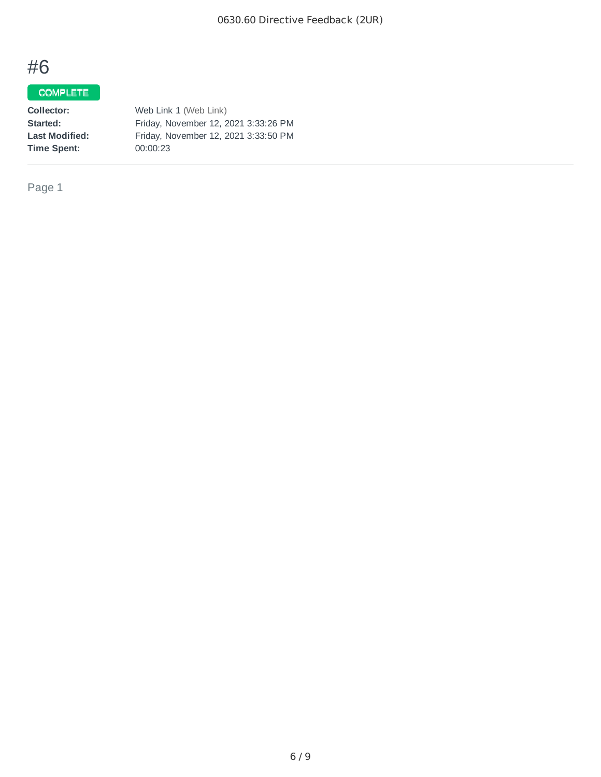# COMPLETE

| Collector:            | Web Link 1 (Web Link)                |  |  |
|-----------------------|--------------------------------------|--|--|
| Started:              | Friday, November 12, 2021 3:33:26 PM |  |  |
| <b>Last Modified:</b> | Friday, November 12, 2021 3:33:50 PM |  |  |
| <b>Time Spent:</b>    | 00:00:23                             |  |  |

Page 1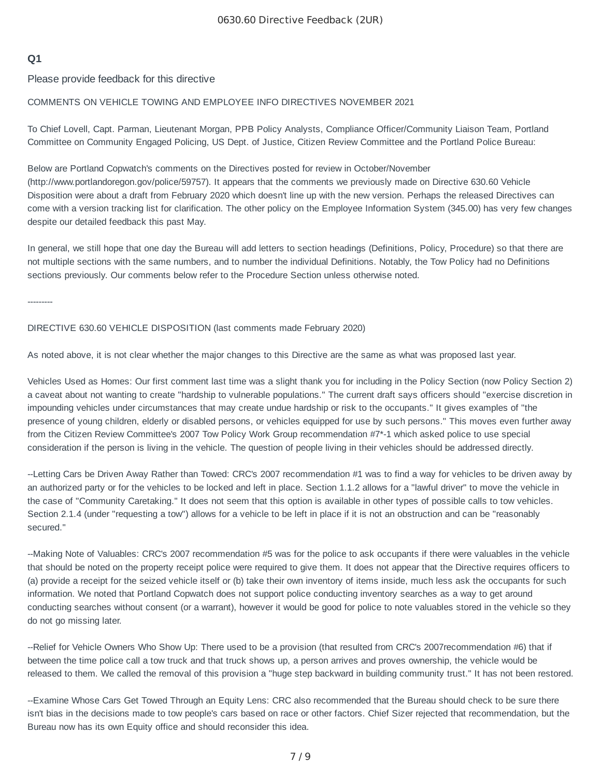# **Q1**

Please provide feedback for this directive

#### COMMENTS ON VEHICLE TOWING AND EMPLOYEE INFO DIRECTIVES NOVEMBER 2021

To Chief Lovell, Capt. Parman, Lieutenant Morgan, PPB Policy Analysts, Compliance Officer/Community Liaison Team, Portland Committee on Community Engaged Policing, US Dept. of Justice, Citizen Review Committee and the Portland Police Bureau:

Below are Portland Copwatch's comments on the Directives posted for review in October/November

(http://www.portlandoregon.gov/police/59757). It appears that the comments we previously made on Directive 630.60 Vehicle Disposition were about a draft from February 2020 which doesn't line up with the new version. Perhaps the released Directives can come with a version tracking list for clarification. The other policy on the Employee Information System (345.00) has very few changes despite our detailed feedback this past May.

In general, we still hope that one day the Bureau will add letters to section headings (Definitions, Policy, Procedure) so that there are not multiple sections with the same numbers, and to number the individual Definitions. Notably, the Tow Policy had no Definitions sections previously. Our comments below refer to the Procedure Section unless otherwise noted.

---------

#### DIRECTIVE 630.60 VEHICLE DISPOSITION (last comments made February 2020)

As noted above, it is not clear whether the major changes to this Directive are the same as what was proposed last year.

Vehicles Used as Homes: Our first comment last time was a slight thank you for including in the Policy Section (now Policy Section 2) a caveat about not wanting to create "hardship to vulnerable populations." The current draft says officers should "exercise discretion in impounding vehicles under circumstances that may create undue hardship or risk to the occupants." It gives examples of "the presence of young children, elderly or disabled persons, or vehicles equipped for use by such persons." This moves even further away from the Citizen Review Committee's 2007 Tow Policy Work Group recommendation #7\*-1 which asked police to use special consideration if the person is living in the vehicle. The question of people living in their vehicles should be addressed directly.

--Letting Cars be Driven Away Rather than Towed: CRC's 2007 recommendation #1 was to find a way for vehicles to be driven away by an authorized party or for the vehicles to be locked and left in place. Section 1.1.2 allows for a "lawful driver" to move the vehicle in the case of "Community Caretaking." It does not seem that this option is available in other types of possible calls to tow vehicles. Section 2.1.4 (under "requesting a tow") allows for a vehicle to be left in place if it is not an obstruction and can be "reasonably secured."

--Making Note of Valuables: CRC's 2007 recommendation #5 was for the police to ask occupants if there were valuables in the vehicle that should be noted on the property receipt police were required to give them. It does not appear that the Directive requires officers to (a) provide a receipt for the seized vehicle itself or (b) take their own inventory of items inside, much less ask the occupants for such information. We noted that Portland Copwatch does not support police conducting inventory searches as a way to get around conducting searches without consent (or a warrant), however it would be good for police to note valuables stored in the vehicle so they do not go missing later.

--Relief for Vehicle Owners Who Show Up: There used to be a provision (that resulted from CRC's 2007recommendation #6) that if between the time police call a tow truck and that truck shows up, a person arrives and proves ownership, the vehicle would be released to them. We called the removal of this provision a "huge step backward in building community trust." It has not been restored.

--Examine Whose Cars Get Towed Through an Equity Lens: CRC also recommended that the Bureau should check to be sure there isn't bias in the decisions made to tow people's cars based on race or other factors. Chief Sizer rejected that recommendation, but the Bureau now has its own Equity office and should reconsider this idea.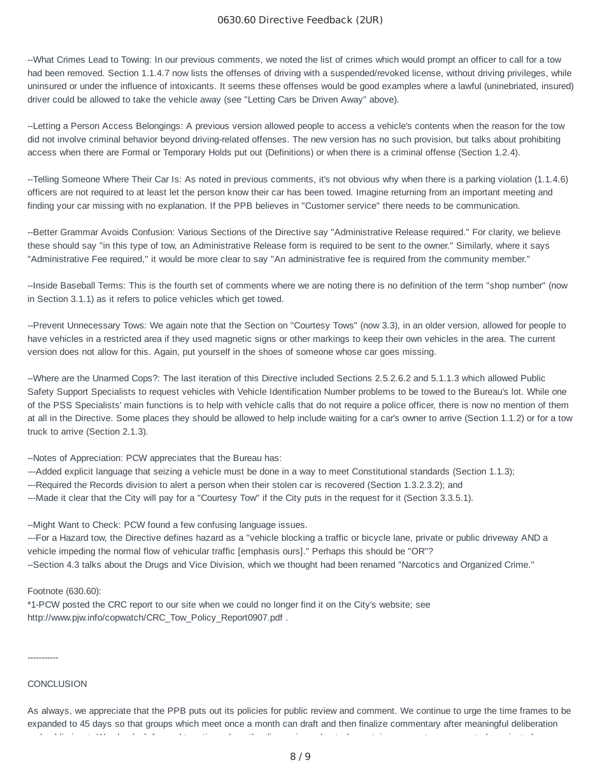--What Crimes Lead to Towing: In our previous comments, we noted the list of crimes which would prompt an officer to call for a tow had been removed. Section 1.1.4.7 now lists the offenses of driving with a suspended/revoked license, without driving privileges, while uninsured or under the influence of intoxicants. It seems these offenses would be good examples where a lawful (uninebriated, insured) driver could be allowed to take the vehicle away (see "Letting Cars be Driven Away" above).

--Letting a Person Access Belongings: A previous version allowed people to access a vehicle's contents when the reason for the tow did not involve criminal behavior beyond driving-related offenses. The new version has no such provision, but talks about prohibiting access when there are Formal or Temporary Holds put out (Definitions) or when there is a criminal offense (Section 1.2.4).

--Telling Someone Where Their Car Is: As noted in previous comments, it's not obvious why when there is a parking violation (1.1.4.6) officers are not required to at least let the person know their car has been towed. Imagine returning from an important meeting and finding your car missing with no explanation. If the PPB believes in "Customer service" there needs to be communication.

--Better Grammar Avoids Confusion: Various Sections of the Directive say "Administrative Release required." For clarity, we believe these should say "in this type of tow, an Administrative Release form is required to be sent to the owner." Similarly, where it says "Administrative Fee required," it would be more clear to say "An administrative fee is required from the community member."

--Inside Baseball Terms: This is the fourth set of comments where we are noting there is no definition of the term "shop number" (now in Section 3.1.1) as it refers to police vehicles which get towed.

--Prevent Unnecessary Tows: We again note that the Section on "Courtesy Tows" (now 3.3), in an older version, allowed for people to have vehicles in a restricted area if they used magnetic signs or other markings to keep their own vehicles in the area. The current version does not allow for this. Again, put yourself in the shoes of someone whose car goes missing.

--Where are the Unarmed Cops?: The last iteration of this Directive included Sections 2.5.2.6.2 and 5.1.1.3 which allowed Public Safety Support Specialists to request vehicles with Vehicle Identification Number problems to be towed to the Bureau's lot. While one of the PSS Specialists' main functions is to help with vehicle calls that do not require a police officer, there is now no mention of them at all in the Directive. Some places they should be allowed to help include waiting for a car's owner to arrive (Section 1.1.2) or for a tow truck to arrive (Section 2.1.3).

--Notes of Appreciation: PCW appreciates that the Bureau has:

---Added explicit language that seizing a vehicle must be done in a way to meet Constitutional standards (Section 1.1.3);

---Required the Records division to alert a person when their stolen car is recovered (Section 1.3.2.3.2); and

---Made it clear that the City will pay for a "Courtesy Tow" if the City puts in the request for it (Section 3.3.5.1).

--Might Want to Check: PCW found a few confusing language issues.

---For a Hazard tow, the Directive defines hazard as a "vehicle blocking a traffic or bicycle lane, private or public driveway AND a vehicle impeding the normal flow of vehicular traffic [emphasis ours]." Perhaps this should be "OR"?

--Section 4.3 talks about the Drugs and Vice Division, which we thought had been renamed "Narcotics and Organized Crime."

Footnote (630.60):

\*1-PCW posted the CRC report to our site when we could no longer find it on the City's website; see http://www.pjw.info/copwatch/CRC\_Tow\_Policy\_Report0907.pdf.

-----------

#### **CONCLUSION**

As always, we appreciate that the PPB puts out its policies for public review and comment. We continue to urge the time frames to be expanded to 45 days so that groups which meet once a month can draft and then finalize commentary after meaningful deliberation d bli i t ved tid i t det delstad dels tid i bli i b t dels tid i b t dels tid i b t dels t dels t dels tid i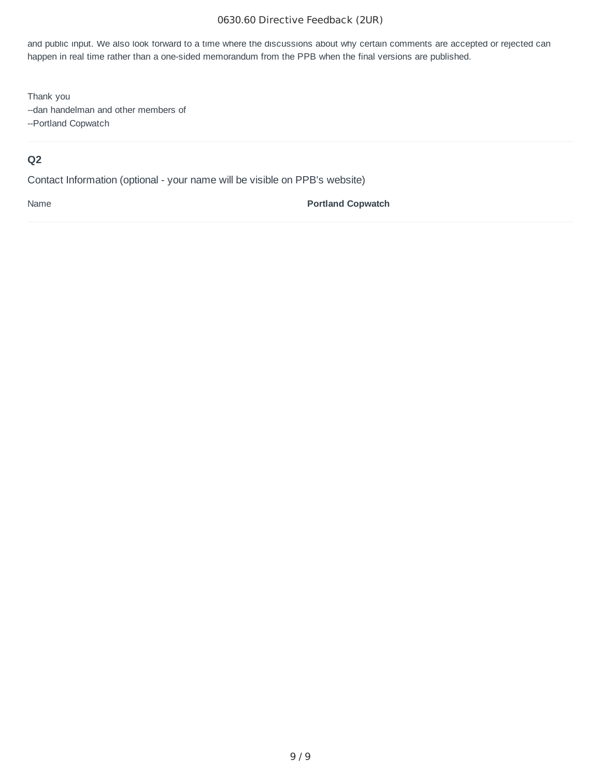### 0630.60 Directive Feedback (2UR)

and public input. We also look forward to a time where the discussions about why certain comments are accepted or rejected can happen in real time rather than a one-sided memorandum from the PPB when the final versions are published.

Thank you --dan handelman and other members of --Portland Copwatch

# **Q2**

Contact Information (optional - your name will be visible on PPB's website)

Name **Portland Copwatch**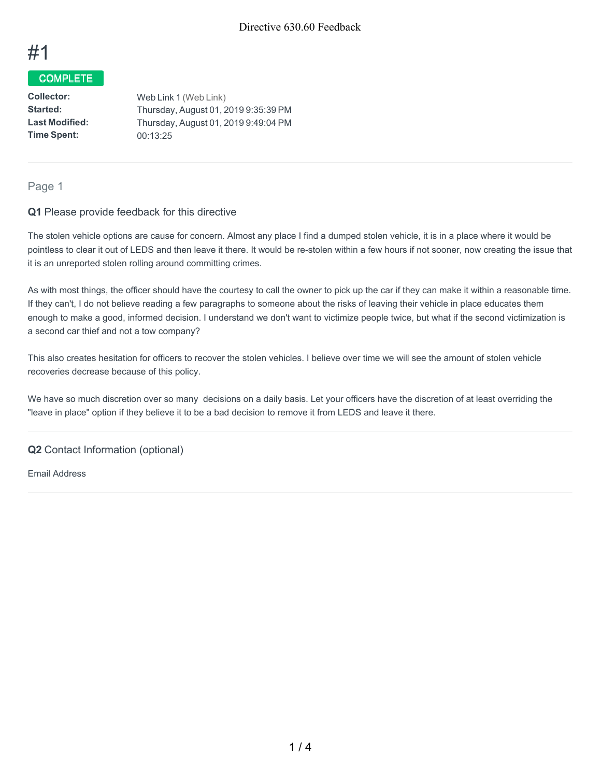### COMPLETE

**Collector: Started: Last Modified: Time Spent:** Web Link 1 (Web Link) Thursday, August 01, 2019 9:35:39 PM Thursday, August 01, 2019 9:49:04 PM 00:13:25

### Page 1

### **Q1** Please provide feedback for this directive

The stolen vehicle options are cause for concern. Almost any place I find a dumped stolen vehicle, it is in a place where it would be pointless to clear it out of LEDS and then leave it there. It would be re-stolen within a few hours if not sooner, now creating the issue that it is an unreported stolen rolling around committing crimes.

As with most things, the officer should have the courtesy to call the owner to pick up the car if they can make it within a reasonable time. If they can't, I do not believe reading a few paragraphs to someone about the risks of leaving their vehicle in place educates them enough to make a good, informed decision. I understand we don't want to victimize people twice, but what if the second victimization is a second car thief and not a tow company?

This also creates hesitation for officers to recover the stolen vehicles. I believe over time we will see the amount of stolen vehicle recoveries decrease because of this policy.

We have so much discretion over so many decisions on a daily basis. Let your officers have the discretion of at least overriding the "leave in place" option if they believe it to be a bad decision to remove it from LEDS and leave it there.

### **Q2** Contact Information (optional)

Email Address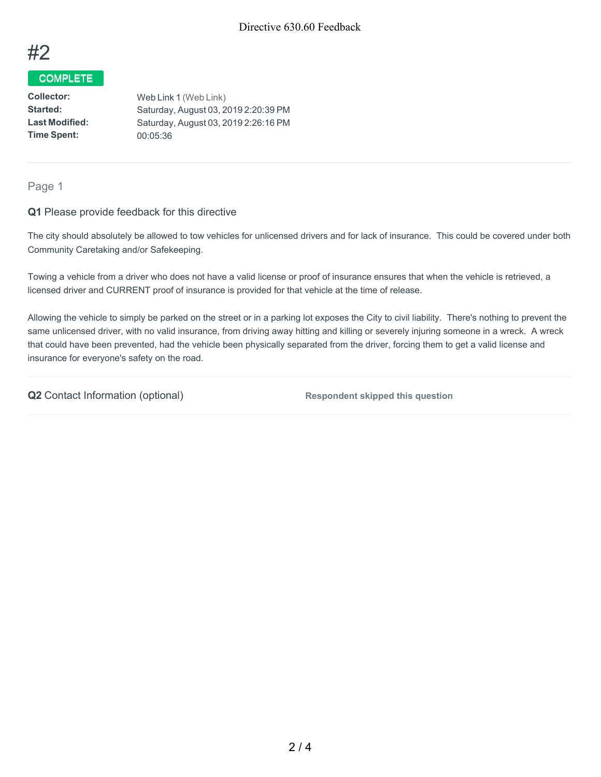

# **COMPLETE**

**Collector: Started: Last Modified: Time Spent:** Web Link 1 (Web Link) Saturday, August 03, 2019 2:20:39 PM Saturday, August 03, 2019 2:26:16 PM 00:05:36

### Page 1

### **Q1** Please provide feedback for this directive

The city should absolutely be allowed to tow vehicles for unlicensed drivers and for lack of insurance. This could be covered under both Community Caretaking and/or Safekeeping.

Towing a vehicle from a driver who does not have a valid license or proof of insurance ensures that when the vehicle is retrieved, a licensed driver and CURRENT proof of insurance is provided for that vehicle at the time of release.

Allowing the vehicle to simply be parked on the street or in a parking lot exposes the City to civil liability. There's nothing to prevent the same unlicensed driver, with no valid insurance, from driving away hitting and killing or severely injuring someone in a wreck. A wreck that could have been prevented, had the vehicle been physically separated from the driver, forcing them to get a valid license and insurance for everyone's safety on the road.

**Q2** Contact Information (optional) **Respondent skipped this question**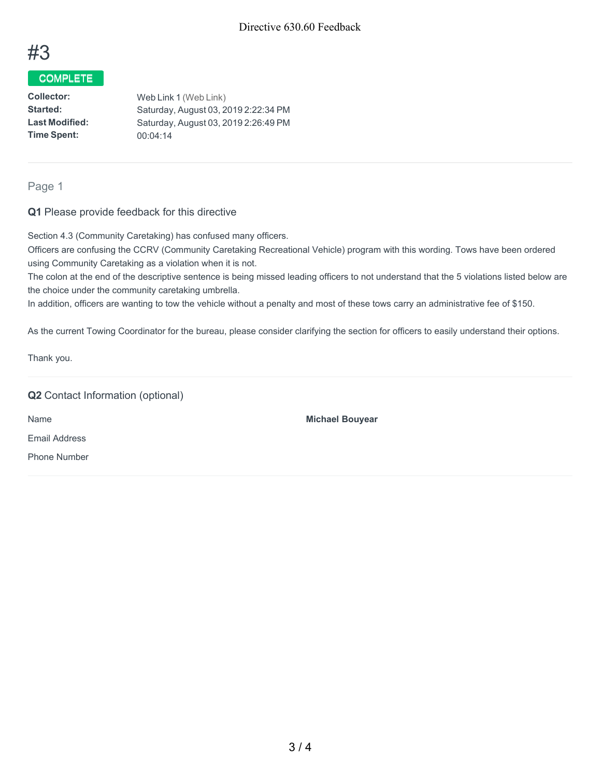

# **COMPLETE**

**Collector: Started: Last Modified: Time Spent:** Web Link 1 (Web Link) Saturday, August 03, 2019 2:22:34 PM Saturday, August 03, 2019 2:26:49 PM 00:04:14

### Page 1

**Q1** Please provide feedback for this directive

Section 4.3 (Community Caretaking) has confused many officers.

Officers are confusing the CCRV (Community Caretaking Recreational Vehicle) program with this wording. Tows have been ordered using Community Caretaking as a violation when it is not.

The colon at the end of the descriptive sentence is being missed leading officers to not understand that the 5 violations listed below are the choice under the community caretaking umbrella.

In addition, officers are wanting to tow the vehicle without a penalty and most of these tows carry an administrative fee of \$150.

As the current Towing Coordinator for the bureau, please consider clarifying the section for officers to easily understand their options.

Thank you.

| <b>Q2</b> Contact Information (optional) |                        |
|------------------------------------------|------------------------|
| Name                                     | <b>Michael Bouyear</b> |
| Email Address                            |                        |
| <b>Phone Number</b>                      |                        |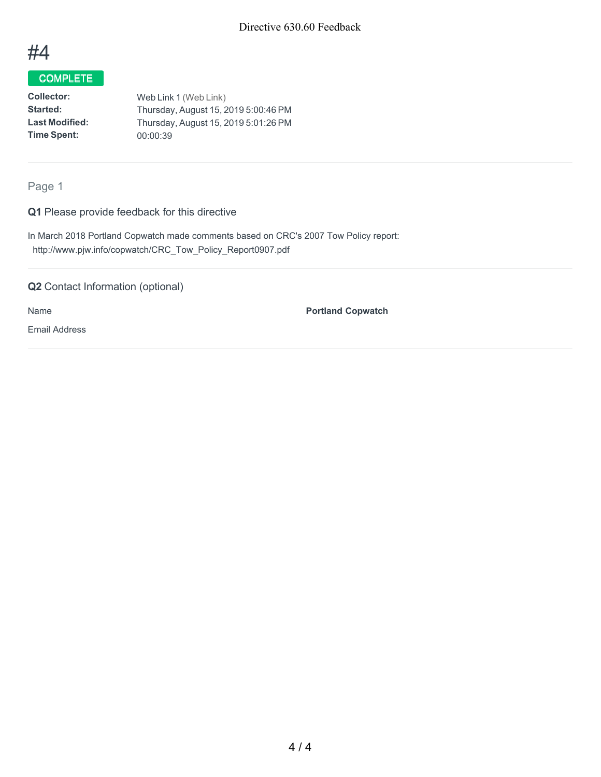

# COMPLETE

**Collector: Started: Last Modified: Time Spent:** Web Link 1 (Web Link) Thursday, August 15, 2019 5:00:46 PM Thursday, August 15, 2019 5:01:26 PM 00:00:39

Page 1

**Q1** Please provide feedback for this directive

In March 2018 Portland Copwatch made comments based on CRC's 2007 Tow Policy report: http://www.pjw.info/copwatch/CRC\_Tow\_Policy\_Report0907.pdf

**Q2** Contact Information (optional)

Name

**Portland Copwatch**

Email Address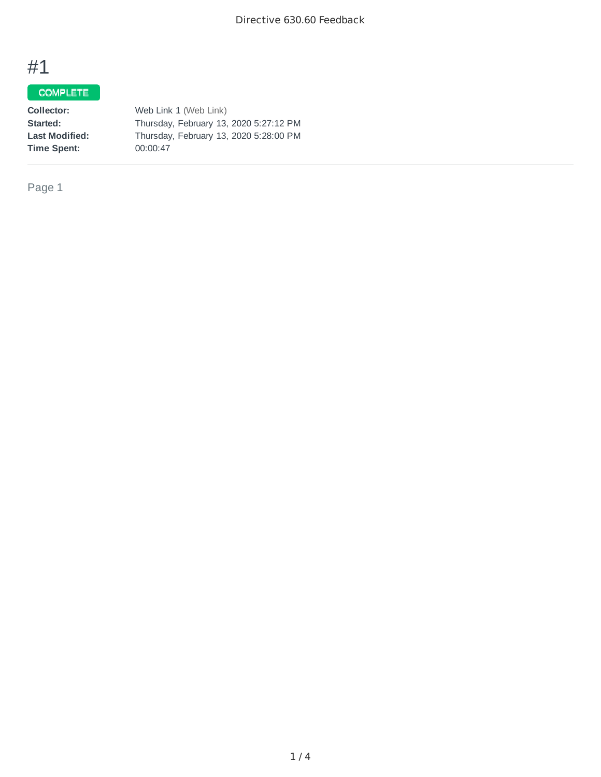# COMPLETE

| Collector:            | Web Link 1 (Web Link)                  |
|-----------------------|----------------------------------------|
| Started:              | Thursday, February 13, 2020 5:27:12 PM |
| <b>Last Modified:</b> | Thursday, February 13, 2020 5:28:00 PM |
| Time Spent:           | 00:00:47                               |

Page 1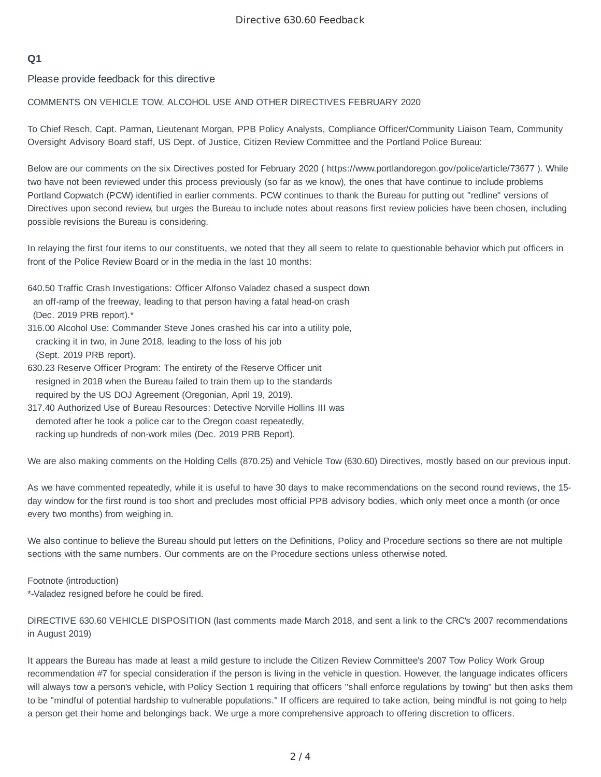# **Q1**

Please provide feedback for this directive

### COMMENTS ON VEHICLE TOW, ALCOHOL USE AND OTHER DIRECTIVES FEBRUARY 2020

To Chief Resch, Capt. Parman, Lieutenant Morgan, PPB Policy Analysts, Compliance Officer/Community Liaison Team, Community Oversight Advisory Board staff, US Dept. of Justice, Citizen Review Committee and the Portland Police Bureau:

Below are our comments on the six Directives posted for February 2020 ( https://www.portlandoregon.gov/police/article/73677 ). While two have not been reviewed under this process previously (so far as we know), the ones that have continue to include problems Portland Copwatch (PCW) identified in earlier comments. PCW continues to thank the Bureau for putting out "redline" versions of Directives upon second review, but urges the Bureau to include notes about reasons first review policies have been chosen, including possible revisions the Bureau is considering.

In relaying the first four items to our constituents, we noted that they all seem to relate to questionable behavior which put officers in front of the Police Review Board or in the media in the last 10 months:

- 640.50 Traffic Crash Investigations: Officer Alfonso Valadez chased a suspect down an off-ramp of the freeway, leading to that person having a fatal head-on crash (Dec. 2019 PRB report).\*
- 316.00 Alcohol Use: Commander Steve Jones crashed his car into a utility pole, cracking it in two, in June 2018, leading to the loss of his job (Sept. 2019 PRB report).
- 630.23 Reserve Officer Program: The entirety of the Reserve Officer unit resigned in 2018 when the Bureau failed to train them up to the standards required by the US DOJ Agreement (Oregonian, April 19, 2019).
- 317.40 Authorized Use of Bureau Resources: Detective Norville Hollins III was demoted after he took a police car to the Oregon coast repeatedly, racking up hundreds of non-work miles (Dec. 2019 PRB Report).

We are also making comments on the Holding Cells (870.25) and Vehicle Tow (630.60) Directives, mostly based on our previous input.

As we have commented repeatedly, while it is useful to have 30 days to make recommendations on the second round reviews, the 15 day window for the first round is too short and precludes most official PPB advisory bodies, which only meet once a month (or once every two months) from weighing in.

We also continue to believe the Bureau should put letters on the Definitions, Policy and Procedure sections so there are not multiple sections with the same numbers. Our comments are on the Procedure sections unless otherwise noted.

### Footnote (introduction)

\*-Valadez resigned before he could be fired.

| DIRECTIVE 630.60 VEHICLE DISPOSITION (last comments made March 2018, and sent a link to the CRC's 2007 recommendations |  |  |  |
|------------------------------------------------------------------------------------------------------------------------|--|--|--|
| in August 2019)                                                                                                        |  |  |  |

It appears the Bureau has made at least a mild gesture to include the Citizen Review Committee's 2007 Tow Policy Work Group recommendation #7 for special consideration if the person is living in the vehicle in question. However, the language indicates officers will always tow a person's vehicle, with Policy Section 1 requiring that officers "shall enforce regulations by towing" but then asks them to be "mindful of potential hardship to vulnerable populations." If officers are required to take action, being mindful is not going to help a person get their home and belongings back. We urge a more comprehensive approach to offering discretion to officers.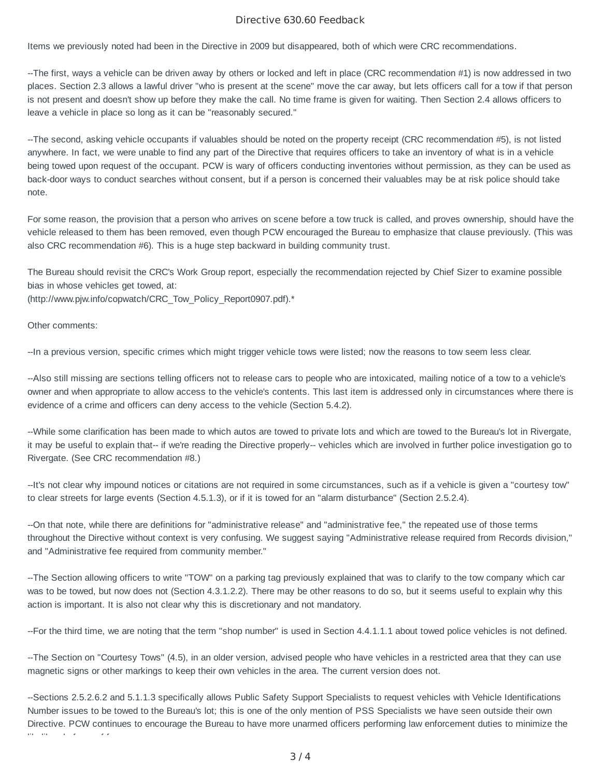#### Directive 630.60 Feedback

Items we previously noted had been in the Directive in 2009 but disappeared, both of which were CRC recommendations.

--The first, ways a vehicle can be driven away by others or locked and left in place (CRC recommendation #1) is now addressed in two places. Section 2.3 allows a lawful driver "who is present at the scene" move the car away, but lets officers call for a tow if that person is not present and doesn't show up before they make the call. No time frame is given for waiting. Then Section 2.4 allows officers to leave a vehicle in place so long as it can be "reasonably secured."

--The second, asking vehicle occupants if valuables should be noted on the property receipt (CRC recommendation #5), is not listed anywhere. In fact, we were unable to find any part of the Directive that requires officers to take an inventory of what is in a vehicle being towed upon request of the occupant. PCW is wary of officers conducting inventories without permission, as they can be used as back-door ways to conduct searches without consent, but if a person is concerned their valuables may be at risk police should take note.

For some reason, the provision that a person who arrives on scene before a tow truck is called, and proves ownership, should have the vehicle released to them has been removed, even though PCW encouraged the Bureau to emphasize that clause previously. (This was also CRC recommendation #6). This is a huge step backward in building community trust.

The Bureau should revisit the CRC's Work Group report, especially the recommendation rejected by Chief Sizer to examine possible bias in whose vehicles get towed, at:

(http://www.pjw.info/copwatch/CRC\_Tow\_Policy\_Report0907.pdf).\*

Other comments:

--In a previous version, specific crimes which might trigger vehicle tows were listed; now the reasons to tow seem less clear.

--Also still missing are sections telling officers not to release cars to people who are intoxicated, mailing notice of a tow to a vehicle's owner and when appropriate to allow access to the vehicle's contents. This last item is addressed only in circumstances where there is evidence of a crime and officers can deny access to the vehicle (Section 5.4.2).

--While some clarification has been made to which autos are towed to private lots and which are towed to the Bureau's lot in Rivergate, it may be useful to explain that-- if we're reading the Directive properly-- vehicles which are involved in further police investigation go to Rivergate. (See CRC recommendation #8.)

--It's not clear why impound notices or citations are not required in some circumstances, such as if a vehicle is given a "courtesy tow" to clear streets for large events (Section 4.5.1.3), or if it is towed for an "alarm disturbance" (Section 2.5.2.4).

--On that note, while there are definitions for "administrative release" and "administrative fee," the repeated use of those terms throughout the Directive without context is very confusing. We suggest saying "Administrative release required from Records division," and "Administrative fee required from community member."

--The Section allowing officers to write "TOW" on a parking tag previously explained that was to clarify to the tow company which car was to be towed, but now does not (Section 4.3.1.2.2). There may be other reasons to do so, but it seems useful to explain why this action is important. It is also not clear why this is discretionary and not mandatory.

--For the third time, we are noting that the term "shop number" is used in Section 4.4.1.1.1 about towed police vehicles is not defined.

--The Section on "Courtesy Tows" (4.5), in an older version, advised people who have vehicles in a restricted area that they can use magnetic signs or other markings to keep their own vehicles in the area. The current version does not.

--Sections 2.5.2.6.2 and 5.1.1.3 specifically allows Public Safety Support Specialists to request vehicles with Vehicle Identifications Number issues to be towed to the Bureau's lot; this is one of the only mention of PSS Specialists we have seen outside their own Directive. PCW continues to encourage the Bureau to have more unarmed officers performing law enforcement duties to minimize the lik lih d f f f